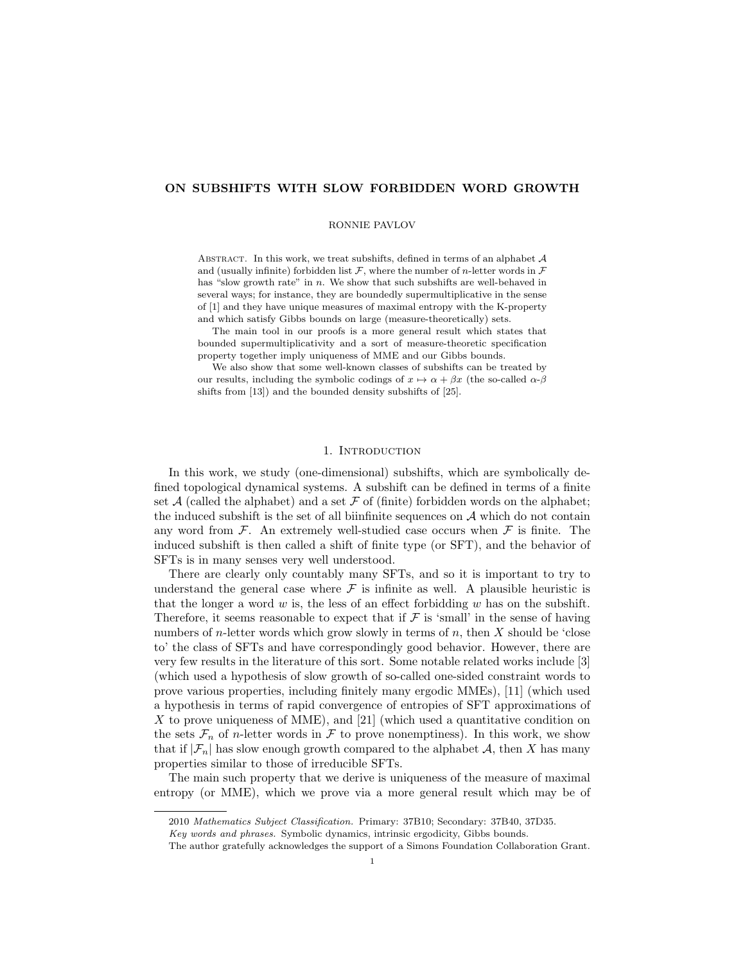# ON SUBSHIFTS WITH SLOW FORBIDDEN WORD GROWTH

## RONNIE PAVLOV

ABSTRACT. In this work, we treat subshifts, defined in terms of an alphabet  $A$ and (usually infinite) forbidden list  $\mathcal F$ , where the number of *n*-letter words in  $\mathcal F$ has "slow growth rate" in  $n$ . We show that such subshifts are well-behaved in several ways; for instance, they are boundedly supermultiplicative in the sense of [1] and they have unique measures of maximal entropy with the K-property and which satisfy Gibbs bounds on large (measure-theoretically) sets.

The main tool in our proofs is a more general result which states that bounded supermultiplicativity and a sort of measure-theoretic specification property together imply uniqueness of MME and our Gibbs bounds.

We also show that some well-known classes of subshifts can be treated by our results, including the symbolic codings of  $x \mapsto \alpha + \beta x$  (the so-called  $\alpha$ - $\beta$ ) shifts from [13]) and the bounded density subshifts of [25].

# 1. INTRODUCTION

In this work, we study (one-dimensional) subshifts, which are symbolically defined topological dynamical systems. A subshift can be defined in terms of a finite set  $A$  (called the alphabet) and a set  $F$  of (finite) forbidden words on the alphabet; the induced subshift is the set of all biinfinite sequences on  $A$  which do not contain any word from  $\mathcal F$ . An extremely well-studied case occurs when  $\mathcal F$  is finite. The induced subshift is then called a shift of finite type (or SFT), and the behavior of SFTs is in many senses very well understood.

There are clearly only countably many SFTs, and so it is important to try to understand the general case where  $\mathcal F$  is infinite as well. A plausible heuristic is that the longer a word  $w$  is, the less of an effect forbidding  $w$  has on the subshift. Therefore, it seems reasonable to expect that if  $\mathcal F$  is 'small' in the sense of having numbers of *n*-letter words which grow slowly in terms of *n*, then  $X$  should be 'close to' the class of SFTs and have correspondingly good behavior. However, there are very few results in the literature of this sort. Some notable related works include [3] (which used a hypothesis of slow growth of so-called one-sided constraint words to prove various properties, including finitely many ergodic MMEs), [11] (which used a hypothesis in terms of rapid convergence of entropies of SFT approximations of  $X$  to prove uniqueness of MME), and  $[21]$  (which used a quantitative condition on the sets  $\mathcal{F}_n$  of *n*-letter words in  $\mathcal F$  to prove nonemptiness). In this work, we show that if  $|\mathcal{F}_n|$  has slow enough growth compared to the alphabet A, then X has many properties similar to those of irreducible SFTs.

The main such property that we derive is uniqueness of the measure of maximal entropy (or MME), which we prove via a more general result which may be of

<sup>2010</sup> Mathematics Subject Classification. Primary: 37B10; Secondary: 37B40, 37D35.

Key words and phrases. Symbolic dynamics, intrinsic ergodicity, Gibbs bounds.

The author gratefully acknowledges the support of a Simons Foundation Collaboration Grant.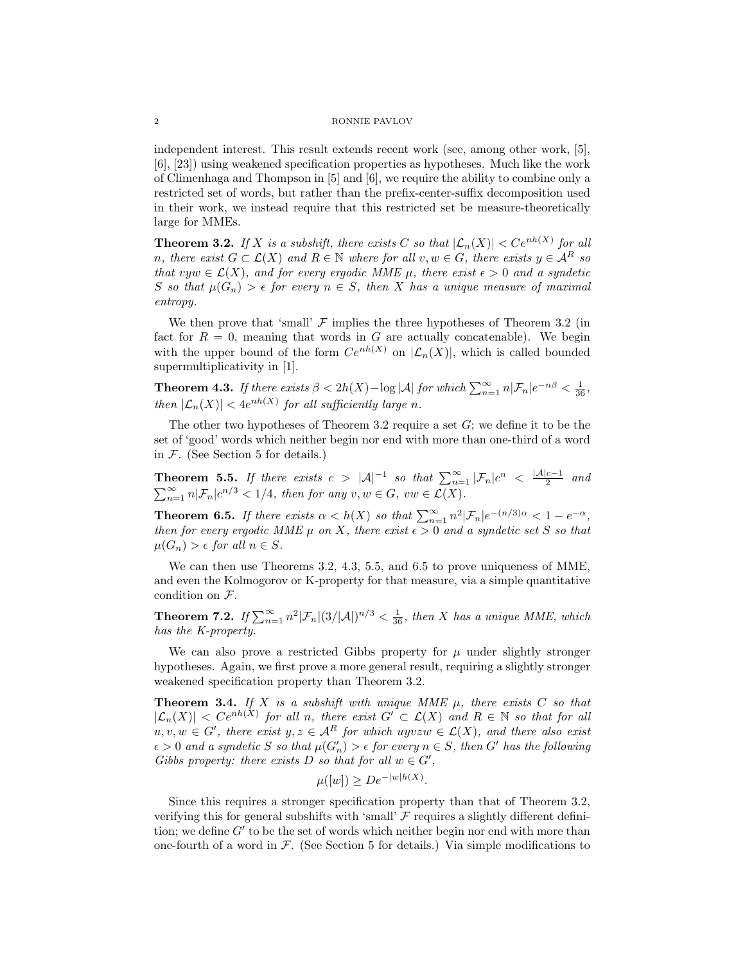independent interest. This result extends recent work (see, among other work, [5], [6], [23]) using weakened specification properties as hypotheses. Much like the work of Climenhaga and Thompson in [5] and [6], we require the ability to combine only a restricted set of words, but rather than the prefix-center-suffix decomposition used in their work, we instead require that this restricted set be measure-theoretically large for MMEs.

**Theorem 3.2.** If X is a subshift, there exists C so that  $|\mathcal{L}_n(X)| < Ce^{nh(X)}$  for all n, there exist  $G \subset \mathcal{L}(X)$  and  $R \in \mathbb{N}$  where for all  $v, w \in G$ , there exists  $y \in \mathcal{A}^R$  so that vyw  $\in \mathcal{L}(X)$ , and for every ergodic MME  $\mu$ , there exist  $\epsilon > 0$  and a syndetic S so that  $\mu(G_n) > \epsilon$  for every  $n \in S$ , then X has a unique measure of maximal entropy.

We then prove that 'small'  $\mathcal F$  implies the three hypotheses of Theorem 3.2 (in fact for  $R = 0$ , meaning that words in G are actually concatenable). We begin with the upper bound of the form  $Ce^{nh(X)}$  on  $|\mathcal{L}_n(X)|$ , which is called bounded supermultiplicativity in [1].

**Theorem 4.3.** If there exists  $\beta < 2h(X) - \log |\mathcal{A}|$  for which  $\sum_{n=1}^{\infty} n|\mathcal{F}_n|e^{-n\beta} < \frac{1}{36}$ , then  $|\mathcal{L}_n(X)| < 4e^{nh(X)}$  for all sufficiently large n.

The other two hypotheses of Theorem 3.2 require a set  $G$ ; we define it to be the set of 'good' words which neither begin nor end with more than one-third of a word in  $F$ . (See Section 5 for details.)

Theorem 5.5. If there exists  $c > |\mathcal{A}|^{-1}$  so that  $\sum_{n=1}^{\infty} |\mathcal{F}_n| c^n < \frac{|\mathcal{A}| c - 1}{2}$  $rac{c-1}{2}$  and  $\sum_{n=1}^{\infty} n|\mathcal{F}_n|c^{n/3} < 1/4$ , then for any  $v, w \in G$ ,  $vw \in \mathcal{L}(X)$ .

**Theorem 6.5.** If there exists  $\alpha < h(X)$  so that  $\sum_{n=1}^{\infty} n^2 |\mathcal{F}_n| e^{-(n/3)\alpha} < 1 - e^{-\alpha}$ , then for every ergodic MME  $\mu$  on X, there exist  $\epsilon > 0$  and a syndetic set S so that  $\mu(G_n) > \epsilon$  for all  $n \in S$ .

We can then use Theorems 3.2, 4.3, 5.5, and 6.5 to prove uniqueness of MME, and even the Kolmogorov or K-property for that measure, via a simple quantitative condition on F.

**Theorem 7.2.** If  $\sum_{n=1}^{\infty} n^2 |\mathcal{F}_n|(3/|\mathcal{A}|)^{n/3} < \frac{1}{36}$ , then X has a unique MME, which has the K-property.

We can also prove a restricted Gibbs property for  $\mu$  under slightly stronger hypotheses. Again, we first prove a more general result, requiring a slightly stronger weakened specification property than Theorem 3.2.

**Theorem 3.4.** If X is a subshift with unique MME  $\mu$ , there exists C so that  $|\mathcal{L}_n(X)| < C e^{nh(X)}$  for all n, there exist  $G' \subset \mathcal{L}(X)$  and  $R \in \mathbb{N}$  so that for all  $u, v, w \in G'$ , there exist  $y, z \in A<sup>R</sup>$  for which uyvz $w \in \mathcal{L}(X)$ , and there also exist  $\epsilon > 0$  and a syndetic S so that  $\mu(G'_n) > \epsilon$  for every  $n \in S$ , then G' has the following Gibbs property: there exists D so that for all  $w \in G'$ ,

$$
\mu([w]) \ge D e^{-|w|h(X)}.
$$

Since this requires a stronger specification property than that of Theorem 3.2, verifying this for general subshifts with 'small'  $\mathcal F$  requires a slightly different definition; we define  $G'$  to be the set of words which neither begin nor end with more than one-fourth of a word in  $\mathcal F$ . (See Section 5 for details.) Via simple modifications to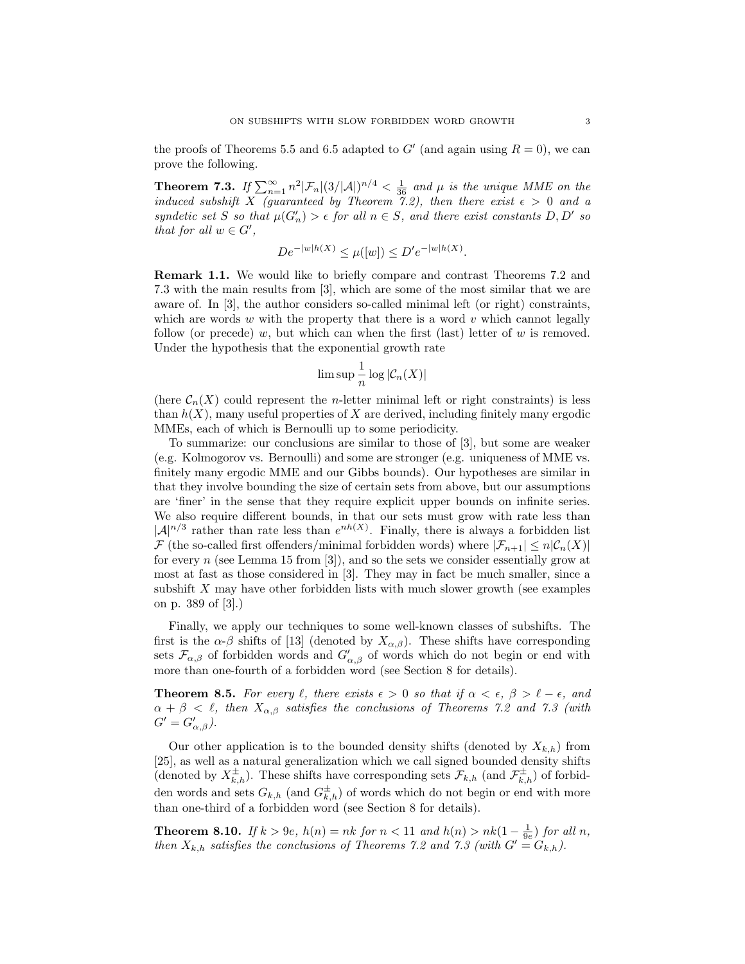the proofs of Theorems 5.5 and 6.5 adapted to  $G'$  (and again using  $R = 0$ ), we can prove the following.

**Theorem 7.3.** If  $\sum_{n=1}^{\infty} n^2 |\mathcal{F}_n|(3/|\mathcal{A}|)^{n/4} < \frac{1}{36}$  and  $\mu$  is the unique MME on the induced subshift X (guaranteed by Theorem 7.2), then there exist  $\epsilon > 0$  and a syndetic set S so that  $\mu(G_n') > \epsilon$  for all  $n \in S$ , and there exist constants D, D' so that for all  $w \in G'$ ,

$$
De^{-|w|h(X)} \le \mu([w]) \le D'e^{-|w|h(X)}.
$$

Remark 1.1. We would like to briefly compare and contrast Theorems 7.2 and 7.3 with the main results from [3], which are some of the most similar that we are aware of. In [3], the author considers so-called minimal left (or right) constraints, which are words  $w$  with the property that there is a word  $v$  which cannot legally follow (or precede) w, but which can when the first (last) letter of w is removed. Under the hypothesis that the exponential growth rate

$$
\limsup \frac{1}{n} \log |\mathcal{C}_n(X)|
$$

(here  $C_n(X)$  could represent the *n*-letter minimal left or right constraints) is less than  $h(X)$ , many useful properties of X are derived, including finitely many ergodic MMEs, each of which is Bernoulli up to some periodicity.

To summarize: our conclusions are similar to those of [3], but some are weaker (e.g. Kolmogorov vs. Bernoulli) and some are stronger (e.g. uniqueness of MME vs. finitely many ergodic MME and our Gibbs bounds). Our hypotheses are similar in that they involve bounding the size of certain sets from above, but our assumptions are 'finer' in the sense that they require explicit upper bounds on infinite series. We also require different bounds, in that our sets must grow with rate less than  $|\mathcal{A}|^{n/3}$  rather than rate less than  $e^{nh(X)}$ . Finally, there is always a forbidden list  $\mathcal F$  (the so-called first offenders/minimal forbidden words) where  $|\mathcal F_{n+1}| \leq n|\mathcal C_n(X)|$ for every  $n$  (see Lemma 15 from [3]), and so the sets we consider essentially grow at most at fast as those considered in [3]. They may in fact be much smaller, since a subshift X may have other forbidden lists with much slower growth (see examples on p. 389 of [3].)

Finally, we apply our techniques to some well-known classes of subshifts. The first is the  $\alpha$ - $\beta$  shifts of [13] (denoted by  $X_{\alpha,\beta}$ ). These shifts have corresponding sets  $\mathcal{F}_{\alpha,\beta}$  of forbidden words and  $G'_{\alpha,\beta}$  of words which do not begin or end with more than one-fourth of a forbidden word (see Section 8 for details).

**Theorem 8.5.** For every  $\ell$ , there exists  $\epsilon > 0$  so that if  $\alpha < \epsilon$ ,  $\beta > \ell - \epsilon$ , and  $\alpha + \beta < \ell$ , then  $X_{\alpha,\beta}$  satisfies the conclusions of Theorems 7.2 and 7.3 (with  $G' = G'_{\alpha,\beta}$ ).

Our other application is to the bounded density shifts (denoted by  $X_{k,h}$ ) from [25], as well as a natural generalization which we call signed bounded density shifts (denoted by  $X_{k,h}^{\pm}$ ). These shifts have corresponding sets  $\mathcal{F}_{k,h}$  (and  $\mathcal{F}_{k,h}^{\pm}$ ) of forbidden words and sets  $G_{k,h}$  (and  $G_{k,h}^{\pm}$ ) of words which do not begin or end with more than one-third of a forbidden word (see Section 8 for details).

**Theorem 8.10.** If  $k > 9e$ ,  $h(n) = nk$  for  $n < 11$  and  $h(n) > nk(1 - \frac{1}{9e})$  for all n, then  $X_{k,h}$  satisfies the conclusions of Theorems 7.2 and 7.3 (with  $G' = G_{k,h}$ ).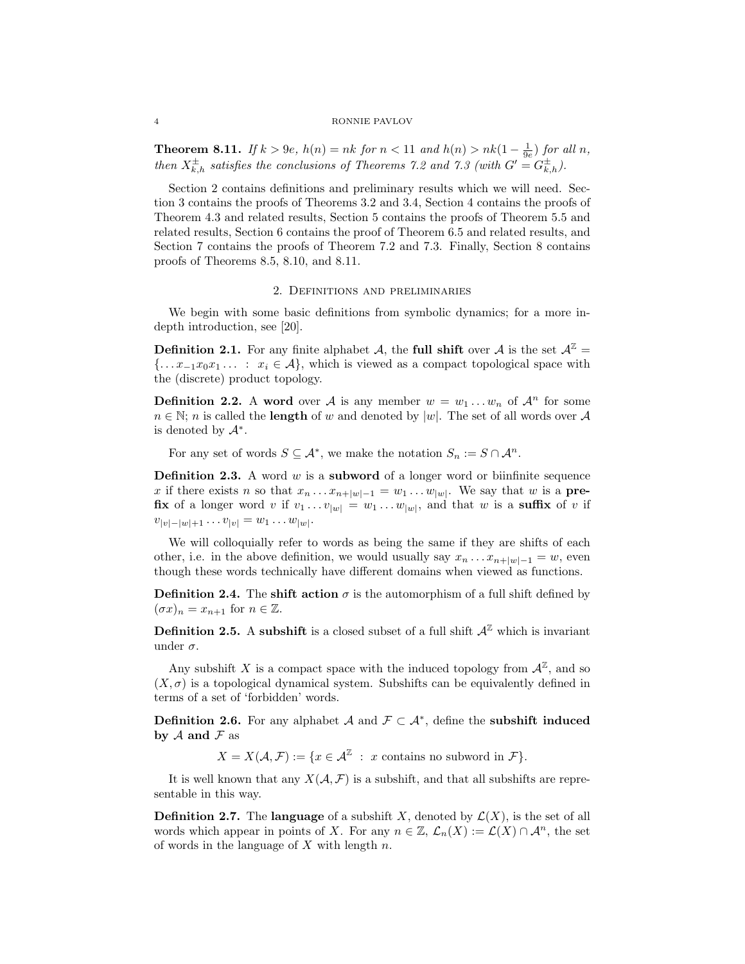**Theorem 8.11.** If  $k > 9e$ ,  $h(n) = nk$  for  $n < 11$  and  $h(n) > nk(1 - \frac{1}{9e})$  for all n, then  $X_{k,h}^{\pm}$  satisfies the conclusions of Theorems 7.2 and 7.3 (with  $G' = G_{k,h}^{\pm}$ ).

Section 2 contains definitions and preliminary results which we will need. Section 3 contains the proofs of Theorems 3.2 and 3.4, Section 4 contains the proofs of Theorem 4.3 and related results, Section 5 contains the proofs of Theorem 5.5 and related results, Section 6 contains the proof of Theorem 6.5 and related results, and Section 7 contains the proofs of Theorem 7.2 and 7.3. Finally, Section 8 contains proofs of Theorems 8.5, 8.10, and 8.11.

## 2. Definitions and preliminaries

We begin with some basic definitions from symbolic dynamics; for a more indepth introduction, see [20].

**Definition 2.1.** For any finite alphabet A, the full shift over A is the set  $A^{\mathbb{Z}} =$  ${\ldots x_{-1}x_0x_1 \ldots : x_i \in \mathcal{A}}$ , which is viewed as a compact topological space with the (discrete) product topology.

**Definition 2.2.** A word over A is any member  $w = w_1 \dots w_n$  of  $\mathcal{A}^n$  for some  $n \in \mathbb{N}$ ; *n* is called the **length** of w and denoted by |w|. The set of all words over A is denoted by  $\mathcal{A}^*$ .

For any set of words  $S \subseteq \mathcal{A}^*$ , we make the notation  $S_n := S \cap \mathcal{A}^n$ .

**Definition 2.3.** A word  $w$  is a **subword** of a longer word or biinfinite sequence x if there exists n so that  $x_n \dots x_{n+|w|-1} = w_1 \dots w_{|w|}$ . We say that w is a **prefix** of a longer word v if  $v_1 \dots v_{|w|} = w_1 \dots w_{|w|}$ , and that w is a **suffix** of v if  $v_{|v|-|w|+1} \ldots v_{|v|} = w_1 \ldots w_{|w|}.$ 

We will colloquially refer to words as being the same if they are shifts of each other, i.e. in the above definition, we would usually say  $x_n \dots x_{n+|w|-1} = w$ , even though these words technically have different domains when viewed as functions.

**Definition 2.4.** The shift action  $\sigma$  is the automorphism of a full shift defined by  $(\sigma x)_n = x_{n+1}$  for  $n \in \mathbb{Z}$ .

**Definition 2.5.** A subshift is a closed subset of a full shift  $A^{\mathbb{Z}}$  which is invariant under  $\sigma$ .

Any subshift X is a compact space with the induced topology from  $\mathcal{A}^{\mathbb{Z}}$ , and so  $(X, \sigma)$  is a topological dynamical system. Subshifts can be equivalently defined in terms of a set of 'forbidden' words.

**Definition 2.6.** For any alphabet A and  $\mathcal{F} \subset \mathcal{A}^*$ , define the **subshift induced** by  $A$  and  $F$  as

 $X = X(\mathcal{A}, \mathcal{F}) := \{x \in \mathcal{A}^{\mathbb{Z}} : x \text{ contains no subword in } \mathcal{F}\}.$ 

It is well known that any  $X(\mathcal{A}, \mathcal{F})$  is a subshift, and that all subshifts are representable in this way.

**Definition 2.7.** The language of a subshift X, denoted by  $\mathcal{L}(X)$ , is the set of all words which appear in points of X. For any  $n \in \mathbb{Z}$ ,  $\mathcal{L}_n(X) := \mathcal{L}(X) \cap \mathcal{A}^n$ , the set of words in the language of  $X$  with length  $n$ .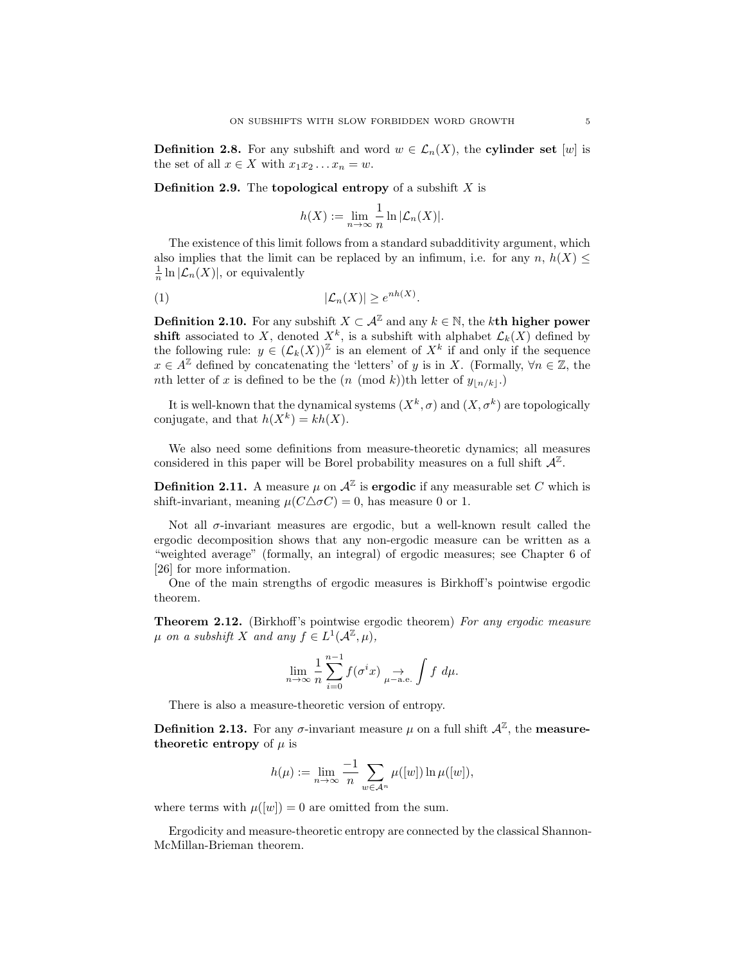**Definition 2.8.** For any subshift and word  $w \in \mathcal{L}_n(X)$ , the **cylinder set** [w] is the set of all  $x \in X$  with  $x_1 x_2 \ldots x_n = w$ .

**Definition 2.9.** The **topological entropy** of a subshift  $X$  is

$$
h(X) := \lim_{n \to \infty} \frac{1}{n} \ln |\mathcal{L}_n(X)|.
$$

The existence of this limit follows from a standard subadditivity argument, which also implies that the limit can be replaced by an infimum, i.e. for any  $n, h(X) \leq$  $\frac{1}{n} \ln |\mathcal{L}_n(X)|$ , or equivalently

$$
|\mathcal{L}_n(X)| \ge e^{nh(X)}.
$$

**Definition 2.10.** For any subshift  $X \subset \mathcal{A}^{\mathbb{Z}}$  and any  $k \in \mathbb{N}$ , the kth higher power shift associated to X, denoted  $X^k$ , is a subshift with alphabet  $\mathcal{L}_k(X)$  defined by the following rule:  $y \in (\mathcal{L}_k(X))^{\mathbb{Z}}$  is an element of  $X^k$  if and only if the sequence  $x \in A^{\mathbb{Z}}$  defined by concatenating the 'letters' of y is in X. (Formally,  $\forall n \in \mathbb{Z}$ , the nth letter of x is defined to be the  $(n \pmod{k})$ th letter of  $y_{|n/k}|$ .

It is well-known that the dynamical systems  $(X^k, \sigma)$  and  $(X, \sigma^k)$  are topologically conjugate, and that  $h(X^k) = kh(X)$ .

We also need some definitions from measure-theoretic dynamics; all measures considered in this paper will be Borel probability measures on a full shift  $\mathcal{A}^{\mathbb{Z}}$ .

**Definition 2.11.** A measure  $\mu$  on  $\mathcal{A}^{\mathbb{Z}}$  is **ergodic** if any measurable set C which is shift-invariant, meaning  $\mu(C\Delta\sigma C) = 0$ , has measure 0 or 1.

Not all  $\sigma$ -invariant measures are ergodic, but a well-known result called the ergodic decomposition shows that any non-ergodic measure can be written as a "weighted average" (formally, an integral) of ergodic measures; see Chapter 6 of [26] for more information.

One of the main strengths of ergodic measures is Birkhoff's pointwise ergodic theorem.

Theorem 2.12. (Birkhoff's pointwise ergodic theorem) For any ergodic measure  $\mu$  on a subshift X and any  $f \in L^1(\mathcal{A}^\mathbb{Z}, \mu)$ ,

$$
\lim_{n \to \infty} \frac{1}{n} \sum_{i=0}^{n-1} f(\sigma^i x) \underset{\mu-\text{a.e.}}{\to} \int f \, d\mu.
$$

There is also a measure-theoretic version of entropy.

**Definition 2.13.** For any  $\sigma$ -invariant measure  $\mu$  on a full shift  $\mathcal{A}^{\mathbb{Z}}$ , the **measure**theoretic entropy of  $\mu$  is

$$
h(\mu):=\lim_{n\to\infty}\frac{-1}{n}\sum_{w\in\mathcal{A}^n}\mu([w])\ln\mu([w]),
$$

where terms with  $\mu([w]) = 0$  are omitted from the sum.

Ergodicity and measure-theoretic entropy are connected by the classical Shannon-McMillan-Brieman theorem.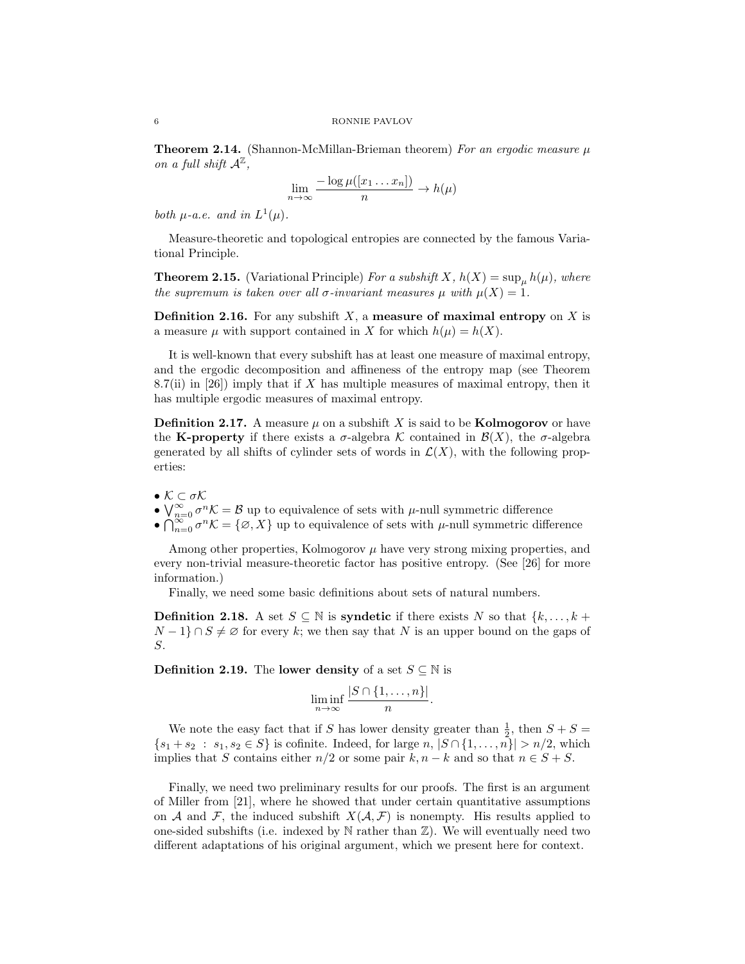**Theorem 2.14.** (Shannon-McMillan-Brieman theorem) For an ergodic measure  $\mu$ on a full shift  $\mathcal{A}^{\mathbb{Z}}$ ,

$$
\lim_{n \to \infty} \frac{-\log \mu([x_1 \dots x_n])}{n} \to h(\mu)
$$

both  $\mu$ -a.e. and in  $L^1(\mu)$ .

Measure-theoretic and topological entropies are connected by the famous Variational Principle.

**Theorem 2.15.** (Variational Principle) For a subshift X,  $h(X) = \sup_{\mu} h(\mu)$ , where the supremum is taken over all  $\sigma$ -invariant measures  $\mu$  with  $\mu(X) = 1$ .

**Definition 2.16.** For any subshift  $X$ , a measure of maximal entropy on  $X$  is a measure  $\mu$  with support contained in X for which  $h(\mu) = h(X)$ .

It is well-known that every subshift has at least one measure of maximal entropy, and the ergodic decomposition and affineness of the entropy map (see Theorem 8.7(ii) in [26]) imply that if X has multiple measures of maximal entropy, then it has multiple ergodic measures of maximal entropy.

**Definition 2.17.** A measure  $\mu$  on a subshift X is said to be **Kolmogorov** or have the K-property if there exists a  $\sigma$ -algebra K contained in  $\mathcal{B}(X)$ , the  $\sigma$ -algebra generated by all shifts of cylinder sets of words in  $\mathcal{L}(X)$ , with the following properties:

- $\bullet$   $\mathcal{K}\subset\sigma\mathcal{K}$
- $\bigvee_{n=0}^{\infty} \sigma^n \mathcal{K} = \mathcal{B}$  up to equivalence of sets with  $\mu$ -null symmetric difference
- $\bigcap_{n=0}^{\infty} \sigma^n \mathcal{K} = \{\emptyset, X\}$  up to equivalence of sets with  $\mu$ -null symmetric difference

Among other properties, Kolmogorov  $\mu$  have very strong mixing properties, and every non-trivial measure-theoretic factor has positive entropy. (See [26] for more information.)

Finally, we need some basic definitions about sets of natural numbers.

**Definition 2.18.** A set  $S \subseteq \mathbb{N}$  is **syndetic** if there exists N so that  $\{k, \ldots, k + \}$  $N-1$ } ∩  $S \neq \emptyset$  for every k; we then say that N is an upper bound on the gaps of S.

**Definition 2.19.** The **lower density** of a set  $S \subseteq \mathbb{N}$  is

$$
\liminf_{n \to \infty} \frac{|S \cap \{1, \dots, n\}|}{n}
$$

.

We note the easy fact that if S has lower density greater than  $\frac{1}{2}$ , then  $S + S =$  $\{s_1 + s_2 : s_1, s_2 \in S\}$  is cofinite. Indeed, for large  $n, |S \cap \{1, ..., n\}| > n/2$ , which implies that S contains either  $n/2$  or some pair  $k, n - k$  and so that  $n \in S + S$ .

Finally, we need two preliminary results for our proofs. The first is an argument of Miller from [21], where he showed that under certain quantitative assumptions on A and F, the induced subshift  $X(\mathcal{A}, \mathcal{F})$  is nonempty. His results applied to one-sided subshifts (i.e. indexed by  $N$  rather than  $\mathbb{Z}$ ). We will eventually need two different adaptations of his original argument, which we present here for context.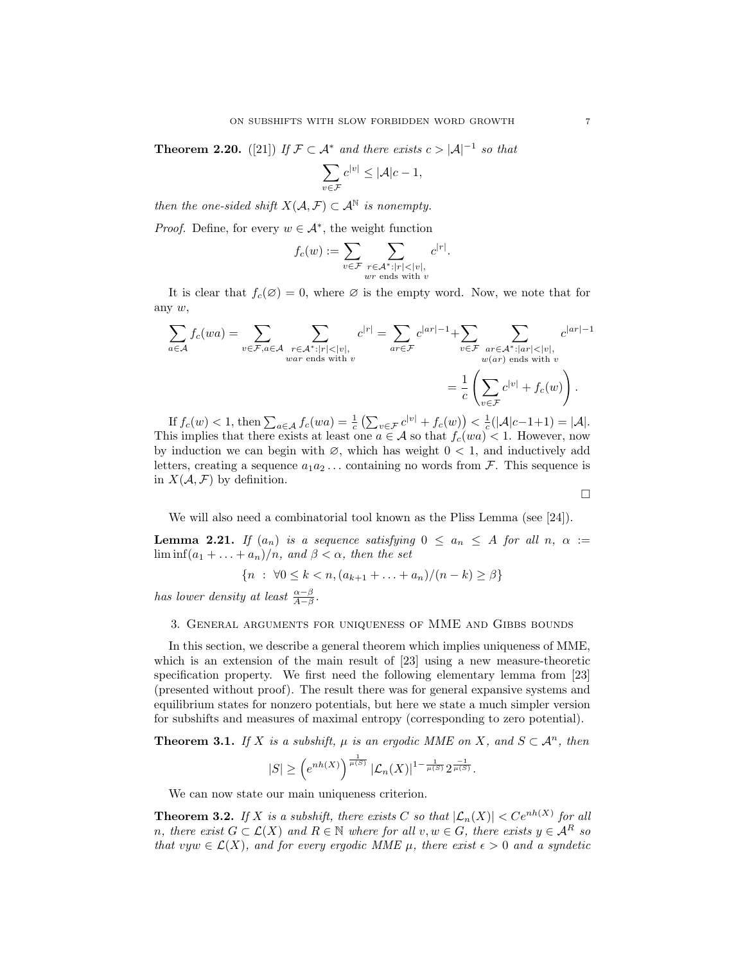**Theorem 2.20.** ([21]) If  $\mathcal{F} \subset \mathcal{A}^*$  and there exists  $c > |\mathcal{A}|^{-1}$  so that

$$
\sum_{v \in \mathcal{F}} c^{|v|} \le |\mathcal{A}|c - 1,
$$

then the one-sided shift  $X(\mathcal{A}, \mathcal{F}) \subset \mathcal{A}^{\mathbb{N}}$  is nonempty.

*Proof.* Define, for every  $w \in A^*$ , the weight function

$$
f_c(w) := \sum_{v \in \mathcal{F}} \sum_{\substack{r \in \mathcal{A}^* : |r| < |v|, \\ wr \text{ ends with } v}} c^{|r|}.
$$

It is clear that  $f_c(\emptyset) = 0$ , where  $\emptyset$  is the empty word. Now, we note that for any w,

$$
\sum_{a \in \mathcal{A}} f_c(wa) = \sum_{v \in \mathcal{F}, a \in \mathcal{A}} \sum_{\substack{r \in \mathcal{A}^* : |r| < |v|, \\ var \text{ ends with } v}} c^{|r|} = \sum_{ar \in \mathcal{F}} c^{|ar|-1} + \sum_{v \in \mathcal{F}} \sum_{\substack{ar \in \mathcal{A}^* : |ar| < |v|, \\ w(ar) \text{ ends with } v}} c^{|ar|-1}
$$
\n
$$
= \frac{1}{c} \left( \sum_{v \in \mathcal{F}} c^{|v|} + f_c(w) \right).
$$

If  $f_c(w) < 1$ , then  $\sum_{a \in A} f_c(wa) = \frac{1}{c} \left( \sum_{v \in \mathcal{F}} c^{|v|} + f_c(w) \right) < \frac{1}{c} (|\mathcal{A}|c-1+1) = |\mathcal{A}|$ . This implies that there exists at least one  $a \in \mathcal{A}$  so that  $f_c(wa) < 1$ . However, now by induction we can begin with  $\varnothing$ , which has weight  $0 < 1$ , and inductively add letters, creating a sequence  $a_1 a_2 \ldots$  containing no words from  $\mathcal{F}$ . This sequence is in  $X(A, \mathcal{F})$  by definition.

We will also need a combinatorial tool known as the Pliss Lemma (see [24]).

**Lemma 2.21.** If  $(a_n)$  is a sequence satisfying  $0 \le a_n \le A$  for all  $n, \alpha :=$  $\liminf (a_1 + \ldots + a_n)/n$ , and  $\beta < \alpha$ , then the set

$$
\{n : \forall 0 \le k < n, (a_{k+1} + \ldots + a_n)/(n - k) \ge \beta\}
$$

has lower density at least  $\frac{\alpha-\beta}{A-\beta}$ .

## 3. General arguments for uniqueness of MME and Gibbs bounds

In this section, we describe a general theorem which implies uniqueness of MME, which is an extension of the main result of [23] using a new measure-theoretic specification property. We first need the following elementary lemma from [23] (presented without proof). The result there was for general expansive systems and equilibrium states for nonzero potentials, but here we state a much simpler version for subshifts and measures of maximal entropy (corresponding to zero potential).

**Theorem 3.1.** If X is a subshift,  $\mu$  is an ergodic MME on X, and  $S \subset \mathcal{A}^n$ , then

$$
|S| \ge \left(e^{nh(X)}\right)^{\frac{1}{\mu(S)}} |\mathcal{L}_n(X)|^{1-\frac{1}{\mu(S)}} 2^{\frac{-1}{\mu(S)}}.
$$

We can now state our main uniqueness criterion.

**Theorem 3.2.** If X is a subshift, there exists C so that  $|\mathcal{L}_n(X)| < Ce^{nh(X)}$  for all n, there exist  $G \subset \mathcal{L}(X)$  and  $R \in \mathbb{N}$  where for all  $v, w \in G$ , there exists  $y \in \mathcal{A}^R$  so that vyw  $\in \mathcal{L}(X)$ , and for every ergodic MME  $\mu$ , there exist  $\epsilon > 0$  and a syndetic

 $\Box$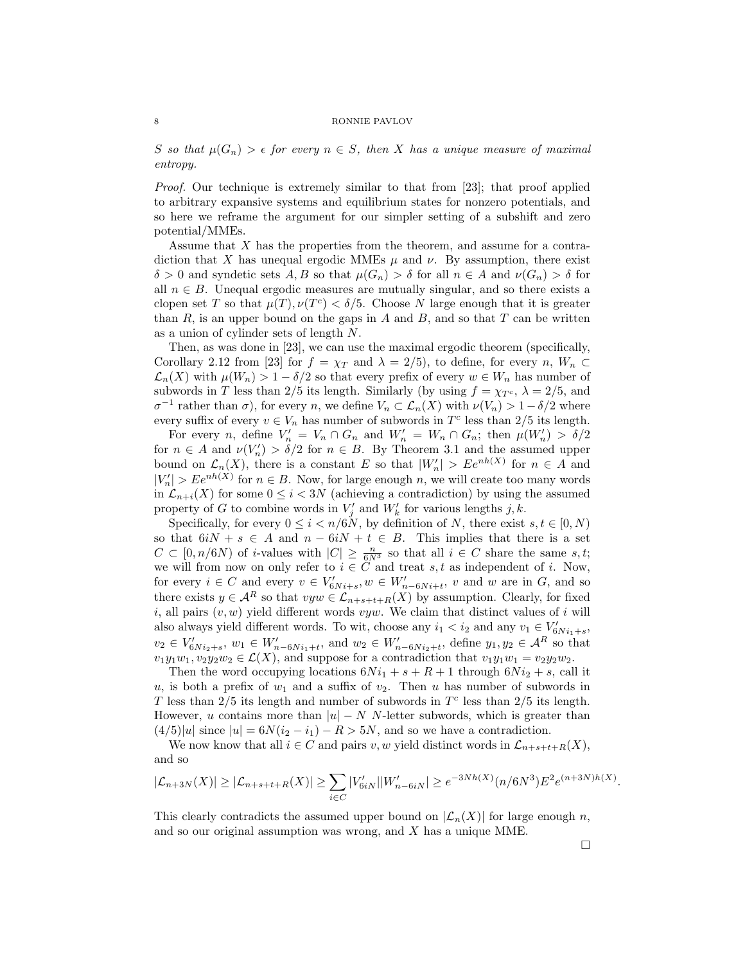S so that  $\mu(G_n) > \epsilon$  for every  $n \in S$ , then X has a unique measure of maximal entropy.

Proof. Our technique is extremely similar to that from [23]; that proof applied to arbitrary expansive systems and equilibrium states for nonzero potentials, and so here we reframe the argument for our simpler setting of a subshift and zero potential/MMEs.

Assume that X has the properties from the theorem, and assume for a contradiction that X has unequal ergodic MMEs  $\mu$  and  $\nu$ . By assumption, there exist  $\delta > 0$  and syndetic sets A, B so that  $\mu(G_n) > \delta$  for all  $n \in A$  and  $\nu(G_n) > \delta$  for all  $n \in B$ . Unequal ergodic measures are mutually singular, and so there exists a clopen set T so that  $\mu(T)$ ,  $\nu(T^c) < \delta/5$ . Choose N large enough that it is greater than  $R$ , is an upper bound on the gaps in  $A$  and  $B$ , and so that  $T$  can be written as a union of cylinder sets of length N.

Then, as was done in [23], we can use the maximal ergodic theorem (specifically, Corollary 2.12 from [23] for  $f = \chi_T$  and  $\lambda = 2/5$ , to define, for every n,  $W_n \subset$  $\mathcal{L}_n(X)$  with  $\mu(W_n) > 1 - \delta/2$  so that every prefix of every  $w \in W_n$  has number of subwords in T less than 2/5 its length. Similarly (by using  $f = \chi_{T_c}$ ,  $\lambda = 2/5$ , and  $\sigma^{-1}$  rather than  $\sigma$ ), for every n, we define  $V_n \subset \mathcal{L}_n(X)$  with  $\nu(V_n) > 1 - \delta/2$  where every suffix of every  $v \in V_n$  has number of subwords in  $T<sup>c</sup>$  less than 2/5 its length.

For every *n*, define  $V'_n = V_n \cap G_n$  and  $W'_n = W_n \cap G_n$ ; then  $\mu(W'_n) > \delta/2$ for  $n \in A$  and  $\nu(V'_n) > \delta/2$  for  $n \in B$ . By Theorem 3.1 and the assumed upper bound on  $\mathcal{L}_n(X)$ , there is a constant E so that  $|W'_n| > Ee^{nh(X)}$  for  $n \in A$  and  $|V'_n| > Ee^{nh(X)}$  for  $n \in B$ . Now, for large enough n, we will create too many words in  $\mathcal{L}_{n+i}(X)$  for some  $0 \leq i < 3N$  (achieving a contradiction) by using the assumed property of G to combine words in  $V'_j$  and  $W'_k$  for various lengths j, k.

Specifically, for every  $0 \le i \le n/6N$ , by definition of N, there exist  $s, t \in [0, N)$ so that  $6iN + s \in A$  and  $n - 6iN + t \in B$ . This implies that there is a set  $C \subset [0, n/6N)$  of *i*-values with  $|C| \geq \frac{n}{6N^3}$  so that all  $i \in C$  share the same *s*,*t*; we will from now on only refer to  $i \in \tilde{C}$  and treat s, t as independent of i. Now, for every  $i \in C$  and every  $v \in V'_{6N_{i+s}}, w \in W'_{n-6N_{i+t}}, v$  and w are in G, and so there exists  $y \in A^R$  so that  $vyw \in \mathcal{L}_{n+s+t+R}(X)$  by assumption. Clearly, for fixed i, all pairs  $(v, w)$  yield different words vyw. We claim that distinct values of i will also always yield different words. To wit, choose any  $i_1 < i_2$  and any  $v_1 \in V'_{6Ni_1+s}$ ,  $v_2 \in V'_{6Ni_2+s}, w_1 \in W'_{n-6Ni_1+t}, \text{ and } w_2 \in W'_{n-6Ni_2+t}, \text{ define } y_1, y_2 \in \mathcal{A}^R \text{ so that }$  $v_1y_1w_1, v_2y_2w_2 \in \mathcal{L}(X)$ , and suppose for a contradiction that  $v_1y_1w_1 = v_2y_2w_2$ .

Then the word occupying locations  $6Ni_1 + s + R + 1$  through  $6Ni_2 + s$ , call it u, is both a prefix of  $w_1$  and a suffix of  $v_2$ . Then u has number of subwords in T less than  $2/5$  its length and number of subwords in  $T<sup>c</sup>$  less than  $2/5$  its length. However, u contains more than  $|u| - N N$ -letter subwords, which is greater than  $(4/5)|u|$  since  $|u| = 6N(i<sub>2</sub> - i<sub>1</sub>) - R > 5N$ , and so we have a contradiction.

We now know that all  $i \in C$  and pairs v, w yield distinct words in  $\mathcal{L}_{n+s+t+R}(X)$ , and so

$$
|\mathcal{L}_{n+3N}(X)| \ge |\mathcal{L}_{n+s+t+R}(X)| \ge \sum_{i \in C} |V'_{6iN}| |W'_{n-6iN}| \ge e^{-3Nh(X)} (n/6N^3) E^2 e^{(n+3N)h(X)}
$$

This clearly contradicts the assumed upper bound on  $|\mathcal{L}_n(X)|$  for large enough n, and so our original assumption was wrong, and X has a unique MME.

.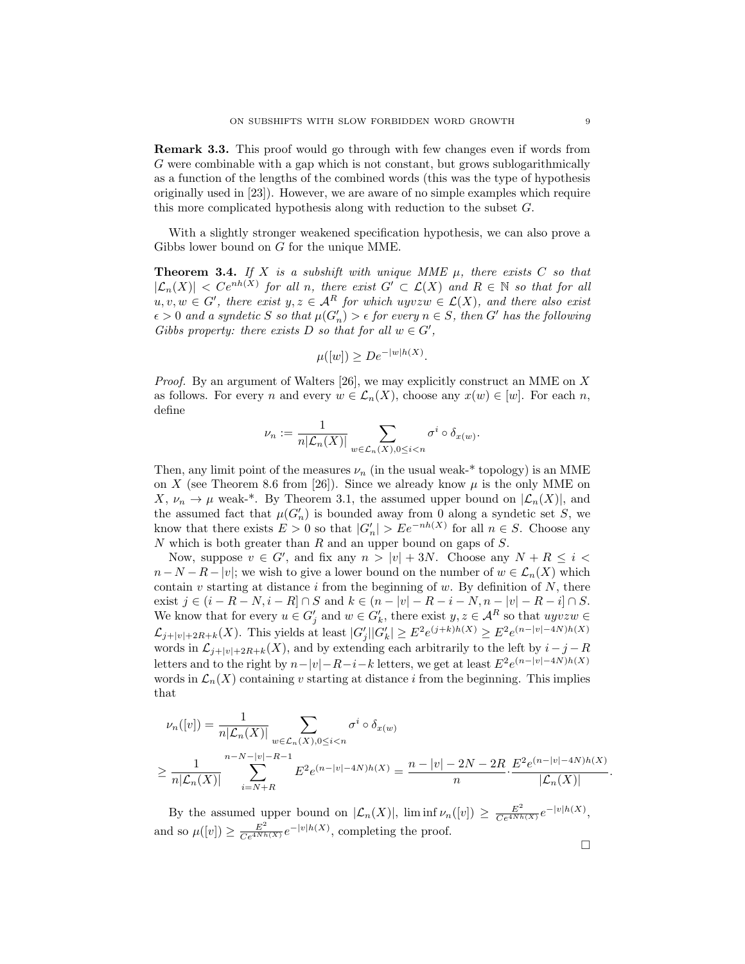Remark 3.3. This proof would go through with few changes even if words from G were combinable with a gap which is not constant, but grows sublogarithmically as a function of the lengths of the combined words (this was the type of hypothesis originally used in [23]). However, we are aware of no simple examples which require this more complicated hypothesis along with reduction to the subset G.

With a slightly stronger weakened specification hypothesis, we can also prove a Gibbs lower bound on G for the unique MME.

**Theorem 3.4.** If X is a subshift with unique MME  $\mu$ , there exists C so that  $|\mathcal{L}_n(X)| < C e^{nh(X)}$  for all n, there exist  $G' \subset \mathcal{L}(X)$  and  $R \in \mathbb{N}$  so that for all  $u, v, w \in G'$ , there exist  $y, z \in A<sup>R</sup>$  for which uyvz $w \in \mathcal{L}(X)$ , and there also exist  $\epsilon > 0$  and a syndetic S so that  $\mu(G'_n) > \epsilon$  for every  $n \in S$ , then G' has the following Gibbs property: there exists D so that for all  $w \in G'$ ,

$$
\mu([w]) \ge D e^{-|w|h(X)}.
$$

*Proof.* By an argument of Walters [26], we may explicitly construct an MME on  $X$ as follows. For every n and every  $w \in \mathcal{L}_n(X)$ , choose any  $x(w) \in [w]$ . For each n, define

$$
\nu_n:=\frac{1}{n|\mathcal{L}_n(X)|}\sum_{w\in\mathcal{L}_n(X), 0\leq i
$$

Then, any limit point of the measures  $\nu_n$  (in the usual weak-\* topology) is an MME on X (see Theorem 8.6 from [26]). Since we already know  $\mu$  is the only MME on X,  $\nu_n \to \mu$  weak-\*. By Theorem 3.1, the assumed upper bound on  $|\mathcal{L}_n(X)|$ , and the assumed fact that  $\mu(G_n')$  is bounded away from 0 along a syndetic set S, we know that there exists  $E > 0$  so that  $|G'_n| > E e^{-nh(X)}$  for all  $n \in S$ . Choose any  $N$  which is both greater than  $R$  and an upper bound on gaps of  $S$ .

Now, suppose  $v \in G'$ , and fix any  $n > |v| + 3N$ . Choose any  $N + R \le i <$  $n-N-R-|v|$ ; we wish to give a lower bound on the number of  $w \in \mathcal{L}_n(X)$  which contain v starting at distance i from the beginning of w. By definition of  $N$ , there exist  $j \in (i - R - N, i - R] \cap S$  and  $k \in (n - |v| - R - i - N, n - |v| - R - i] \cap S$ . We know that for every  $u \in G'_j$  and  $w \in G'_k$ , there exist  $y, z \in \mathcal{A}^R$  so that  $uyvzw \in \mathcal{A}$  $\mathcal{L}_{j+|v|+2R+k}(X)$ . This yields at least  $|G'_j||G'_k| \geq E^2 e^{(j+k)h(X)} \geq E^2 e^{(n-|v|-4N)h(X)}$ words in  $\mathcal{L}_{j+|v|+2R+k}(X)$ , and by extending each arbitrarily to the left by  $i-j-R$ letters and to the right by  $n-|v|-R-i-k$  letters, we get at least  $E^2e^{(n-|v|-4N)h(X)}$ words in  $\mathcal{L}_n(X)$  containing v starting at distance i from the beginning. This implies that

$$
\nu_n([v]) = \frac{1}{n|\mathcal{L}_n(X)|} \sum_{w \in \mathcal{L}_n(X), 0 \le i < n} \sigma^i \circ \delta_{x(w)} \\
\ge \frac{1}{n|\mathcal{L}_n(X)|} \sum_{i=N+R}^{n-N-|v|-R-1} E^2 e^{(n-|v|-4N)h(X)} = \frac{n-|v|-2N-2R}{n} \cdot \frac{E^2 e^{(n-|v|-4N)h(X)}}{|\mathcal{L}_n(X)|}.
$$

By the assumed upper bound on  $|\mathcal{L}_n(X)|$ ,  $\liminf \nu_n([v]) \geq \frac{E^2}{Ce^{4Nh(X)}}e^{-|v|h(X)},$ and so  $\mu([v]) \ge \frac{E^2}{Ce^{4Nh(X)}} e^{-|v|h(X)}$ , completing the proof.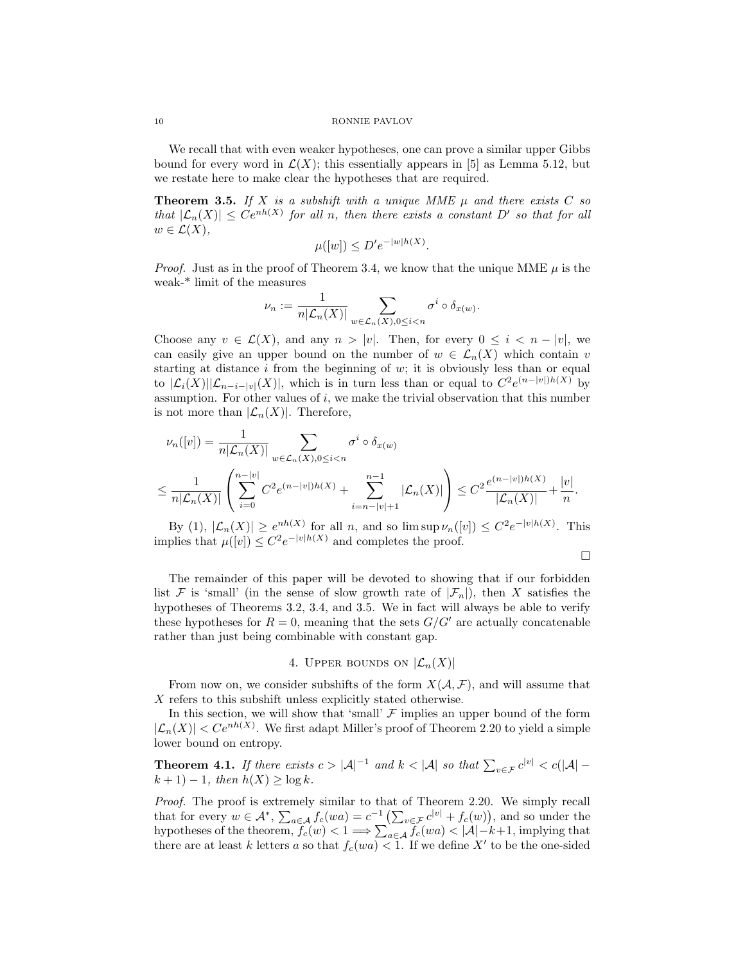We recall that with even weaker hypotheses, one can prove a similar upper Gibbs bound for every word in  $\mathcal{L}(X)$ ; this essentially appears in [5] as Lemma 5.12, but we restate here to make clear the hypotheses that are required.

**Theorem 3.5.** If X is a subshift with a unique MME  $\mu$  and there exists C so that  $|\mathcal{L}_n(X)| \leq Ce^{nh(X)}$  for all n, then there exists a constant D' so that for all  $w \in \mathcal{L}(X),$ 

$$
\mu([w]) \le D'e^{-|w|h(X)}.
$$

*Proof.* Just as in the proof of Theorem 3.4, we know that the unique MME  $\mu$  is the weak-\* limit of the measures

$$
\nu_n:=\frac{1}{n|\mathcal{L}_n(X)|}\sum_{w\in\mathcal{L}_n(X), 0\leq i
$$

Choose any  $v \in \mathcal{L}(X)$ , and any  $n > |v|$ . Then, for every  $0 \leq i < n - |v|$ , we can easily give an upper bound on the number of  $w \in \mathcal{L}_n(X)$  which contain v starting at distance  $i$  from the beginning of  $w$ ; it is obviously less than or equal to  $|\mathcal{L}_i(X)||\mathcal{L}_{n-i-|v|}(X)|$ , which is in turn less than or equal to  $C^2e^{(n-|v|)h(X)}$  by assumption. For other values of  $i$ , we make the trivial observation that this number is not more than  $|\mathcal{L}_n(X)|$ . Therefore,

$$
\nu_n([v]) = \frac{1}{n|\mathcal{L}_n(X)|} \sum_{w \in \mathcal{L}_n(X), 0 \le i < n} \sigma^i \circ \delta_{x(w)} \\
\le \frac{1}{n|\mathcal{L}_n(X)|} \left( \sum_{i=0}^{n-|v|} C^2 e^{(n-|v|)h(X)} + \sum_{i=n-|v|+1}^{n-1} |\mathcal{L}_n(X)| \right) \le C^2 \frac{e^{(n-|v|)h(X)}}{|\mathcal{L}_n(X)|} + \frac{|v|}{n}.
$$

By (1),  $|\mathcal{L}_n(X)| \geq e^{nh(X)}$  for all n, and so  $\limsup \nu_n([v]) \leq C^2 e^{-|v|h(X)|}$ . This implies that  $\mu([v]) \leq C^2 e^{-|v|h(X)|}$  and completes the proof.

$$
\Box
$$

The remainder of this paper will be devoted to showing that if our forbidden list F is 'small' (in the sense of slow growth rate of  $|\mathcal{F}_n|$ ), then X satisfies the hypotheses of Theorems 3.2, 3.4, and 3.5. We in fact will always be able to verify these hypotheses for  $R = 0$ , meaning that the sets  $G/G'$  are actually concatenable rather than just being combinable with constant gap.

# 4. UPPER BOUNDS ON  $|\mathcal{L}_n(X)|$

From now on, we consider subshifts of the form  $X(A, \mathcal{F})$ , and will assume that X refers to this subshift unless explicitly stated otherwise.

In this section, we will show that 'small'  $\mathcal F$  implies an upper bound of the form  $|\mathcal{L}_n(X)| < Ce^{nh(X)}$ . We first adapt Miller's proof of Theorem 2.20 to yield a simple lower bound on entropy.

**Theorem 4.1.** If there exists  $c > |\mathcal{A}|^{-1}$  and  $k < |\mathcal{A}|$  so that  $\sum_{v \in \mathcal{F}} c^{|v|} < c(|\mathcal{A}| - \epsilon)$  $k + 1$ ) – 1, then  $h(X) \ge \log k$ .

Proof. The proof is extremely similar to that of Theorem 2.20. We simply recall that for every  $w \in \mathcal{A}^*$ ,  $\sum_{a \in \mathcal{A}} f_c(wa) = c^{-1} \left( \sum_{v \in \mathcal{F}} c^{|v|} + f_c(w) \right)$ , and so under the hypotheses of the theorem,  $f_c(w) < 1 \Longrightarrow \sum_{a \in A} f_c(wa) < |\mathcal{A}| - k + 1$ , implying that there are at least k letters a so that  $f_c(wa) < 1$ . If we define X' to be the one-sided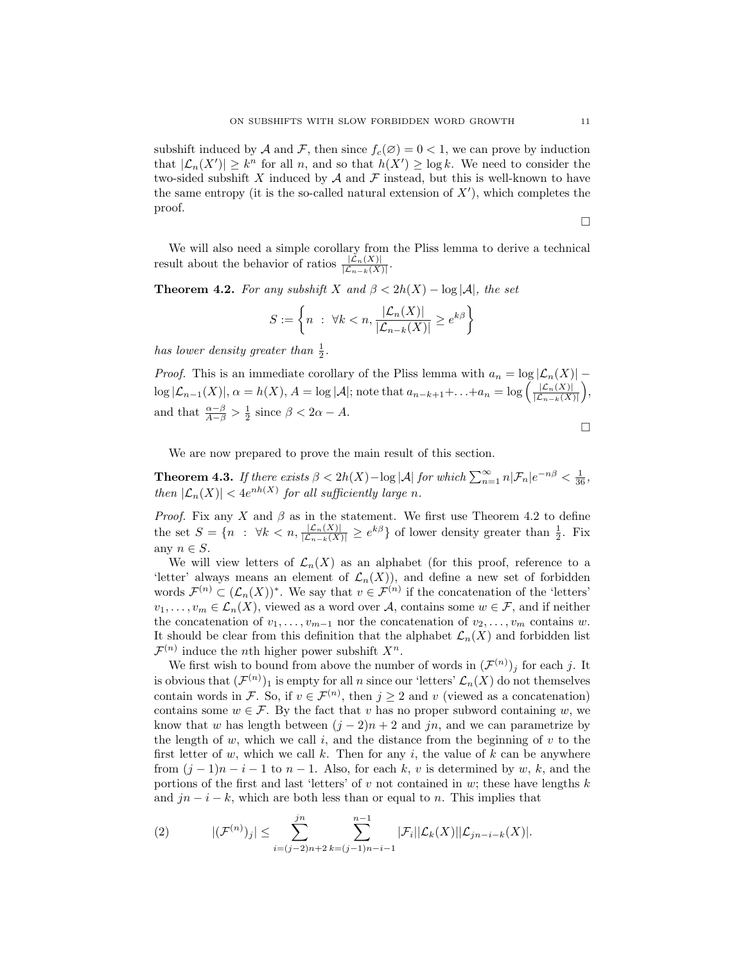subshift induced by A and F, then since  $f_c(\mathcal{O}) = 0 < 1$ , we can prove by induction that  $|\mathcal{L}_n(X')| \geq k^n$  for all n, and so that  $h(X') \geq \log k$ . We need to consider the two-sided subshift X induced by  $A$  and  $F$  instead, but this is well-known to have the same entropy (it is the so-called natural extension of  $X'$ ), which completes the proof.

 $\Box$ 

We will also need a simple corollary from the Pliss lemma to derive a technical result about the behavior of ratios  $\frac{|\mathcal{L}_n(X)|}{|\mathcal{L}_{n-k}(X)|}$ .

**Theorem 4.2.** For any subshift X and  $\beta < 2h(X) - \log |\mathcal{A}|$ , the set

$$
S := \left\{ n : \forall k < n, \frac{|\mathcal{L}_n(X)|}{|\mathcal{L}_{n-k}(X)|} \ge e^{k\beta} \right\}
$$

has lower density greater than  $\frac{1}{2}$ .

*Proof.* This is an immediate corollary of the Pliss lemma with  $a_n = \log |\mathcal{L}_n(X)|$  –  $\log |\mathcal{L}_{n-1}(X)|, \alpha = h(X), A = \log |\mathcal{A}|;$  note that  $a_{n-k+1} + \ldots + a_n = \log \left( \frac{|\mathcal{L}_n(X)|}{|\mathcal{L}_{n-1}(X)|} \right)$  $\frac{|\mathcal{L}_n(X)|}{|\mathcal{L}_{n-k}(X)|},$ and that  $\frac{\alpha-\beta}{A-\beta} > \frac{1}{2}$  since  $\beta < 2\alpha - A$ .

$$
\Box
$$

We are now prepared to prove the main result of this section.

**Theorem 4.3.** If there exists  $\beta < 2h(X) - \log |\mathcal{A}|$  for which  $\sum_{n=1}^{\infty} n|\mathcal{F}_n|e^{-n\beta} < \frac{1}{36}$ , then  $|\mathcal{L}_n(X)| < 4e^{nh(X)}$  for all sufficiently large n.

*Proof.* Fix any X and  $\beta$  as in the statement. We first use Theorem 4.2 to define the set  $S = \{n : \forall k < n, \frac{|\mathcal{L}_n(X)|}{|\mathcal{L}_{n-k}(X)|} \geq e^{k\beta}\}\$  of lower density greater than  $\frac{1}{2}$ . Fix any  $n \in S$ .

We will view letters of  $\mathcal{L}_n(X)$  as an alphabet (for this proof, reference to a 'letter' always means an element of  $\mathcal{L}_n(X)$ , and define a new set of forbidden words  $\mathcal{F}^{(n)} \subset (\mathcal{L}_n(X))^*$ . We say that  $v \in \mathcal{F}^{(n)}$  if the concatenation of the 'letters'  $v_1, \ldots, v_m \in \mathcal{L}_n(X)$ , viewed as a word over A, contains some  $w \in \mathcal{F}$ , and if neither the concatenation of  $v_1, \ldots, v_{m-1}$  nor the concatenation of  $v_2, \ldots, v_m$  contains w. It should be clear from this definition that the alphabet  $\mathcal{L}_n(X)$  and forbidden list  $\mathcal{F}^{(n)}$  induce the *n*th higher power subshift  $X^n$ .

We first wish to bound from above the number of words in  $(\mathcal{F}^{(n)})_j$  for each j. It is obvious that  $(\mathcal{F}^{(n)})_1$  is empty for all n since our 'letters'  $\mathcal{L}_n(X)$  do not themselves contain words in F. So, if  $v \in \mathcal{F}^{(n)}$ , then  $j \geq 2$  and v (viewed as a concatenation) contains some  $w \in \mathcal{F}$ . By the fact that v has no proper subword containing w, we know that w has length between  $(j - 2)n + 2$  and jn, and we can parametrize by the length of  $w$ , which we call  $i$ , and the distance from the beginning of  $v$  to the first letter of w, which we call k. Then for any i, the value of  $k$  can be anywhere from  $(j-1)n-i-1$  to  $n-1$ . Also, for each k, v is determined by w, k, and the portions of the first and last 'letters' of v not contained in w; these have lengths  $k$ and  $jn - i - k$ , which are both less than or equal to n. This implies that

(2) 
$$
|(\mathcal{F}^{(n)})_j| \leq \sum_{i=(j-2)n+2}^{jn} \sum_{k=(j-1)n-i-1}^{n-1} |\mathcal{F}_i||\mathcal{L}_k(X)||\mathcal{L}_{jn-i-k}(X)|.
$$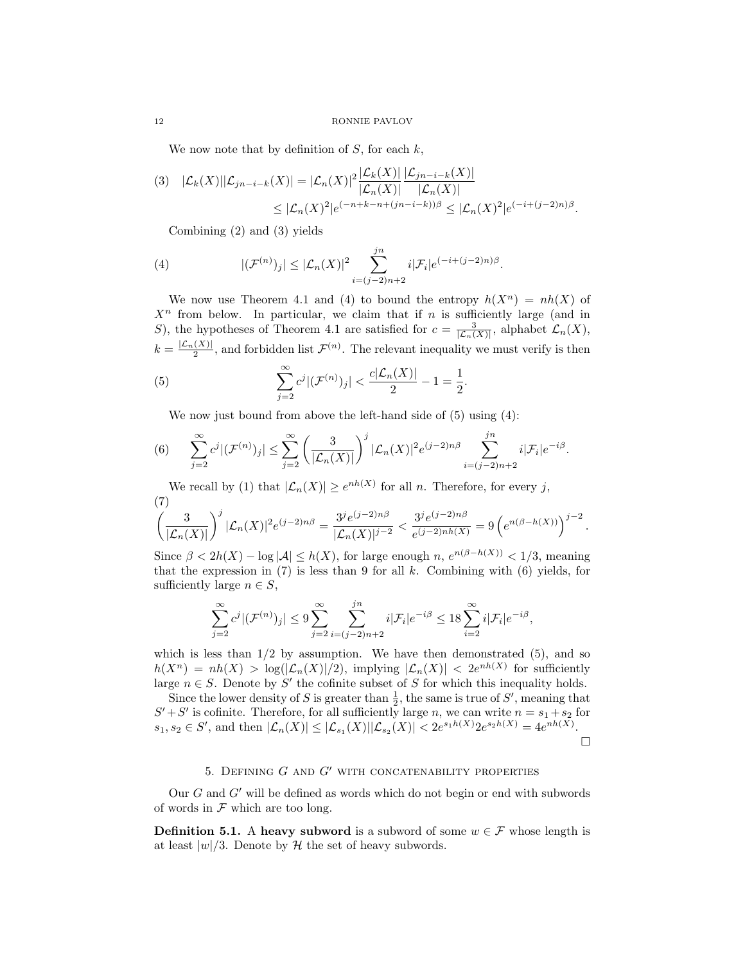We now note that by definition of  $S$ , for each  $k$ ,

$$
(3) \quad |\mathcal{L}_{k}(X)||\mathcal{L}_{jn-i-k}(X)| = |\mathcal{L}_{n}(X)|^{2} \frac{|\mathcal{L}_{k}(X)|}{|\mathcal{L}_{n}(X)|} \frac{|\mathcal{L}_{jn-i-k}(X)|}{|\mathcal{L}_{n}(X)|} \n\leq |\mathcal{L}_{n}(X)^{2}|e^{(-n+k-n+(jn-i-k))\beta} \leq |\mathcal{L}_{n}(X)^{2}|e^{(-i+(j-2)n)\beta}.
$$

Combining (2) and (3) yields

(4) 
$$
|(\mathcal{F}^{(n)})_j| \leq |\mathcal{L}_n(X)|^2 \sum_{i=(j-2)n+2}^{jn} i|\mathcal{F}_i|e^{(-i+(j-2)n)\beta}.
$$

We now use Theorem 4.1 and (4) to bound the entropy  $h(X^n) = nh(X)$  of  $X<sup>n</sup>$  from below. In particular, we claim that if n is sufficiently large (and in S), the hypotheses of Theorem 4.1 are satisfied for  $c = \frac{3}{|\mathcal{L}_n(X)|}$ , alphabet  $\mathcal{L}_n(X)$ ,  $k = \frac{|\mathcal{L}_n(X)|}{2}$ , and forbidden list  $\mathcal{F}^{(n)}$ . The relevant inequality we must verify is then

(5) 
$$
\sum_{j=2}^{\infty} c^j |(\mathcal{F}^{(n)})_j| < \frac{c |\mathcal{L}_n(X)|}{2} - 1 = \frac{1}{2}.
$$

We now just bound from above the left-hand side of (5) using (4):

(6) 
$$
\sum_{j=2}^{\infty} c^j |(\mathcal{F}^{(n)})_j| \leq \sum_{j=2}^{\infty} \left( \frac{3}{|\mathcal{L}_n(X)|} \right)^j |\mathcal{L}_n(X)|^2 e^{(j-2)n\beta} \sum_{i=(j-2)n+2}^{jn} i |\mathcal{F}_i| e^{-i\beta}.
$$

We recall by (1) that  $|\mathcal{L}_n(X)| \geq e^{nh(X)}$  for all n. Therefore, for every j, (7)

$$
\left(\frac{3}{|\mathcal{L}_n(X)|}\right)^j |\mathcal{L}_n(X)|^2 e^{(j-2)n\beta} = \frac{3^j e^{(j-2)n\beta}}{|\mathcal{L}_n(X)|^{j-2}} < \frac{3^j e^{(j-2)n\beta}}{e^{(j-2)nh(X)}} = 9\left(e^{n(\beta - h(X))}\right)^{j-2}.
$$

Since  $\beta < 2h(X) - \log |\mathcal{A}| \leq h(X)$ , for large enough  $n, e^{n(\beta - h(X))} < 1/3$ , meaning that the expression in (7) is less than 9 for all  $k$ . Combining with (6) yields, for sufficiently large  $n \in S$ ,

$$
\sum_{j=2}^{\infty} c^j |(\mathcal{F}^{(n)})_j| \le 9 \sum_{j=2}^{\infty} \sum_{i=(j-2)n+2}^{jn} i|\mathcal{F}_i|e^{-i\beta} \le 18 \sum_{i=2}^{\infty} i|\mathcal{F}_i|e^{-i\beta},
$$

which is less than  $1/2$  by assumption. We have then demonstrated  $(5)$ , and so  $h(X^n) = nh(X) > log(|\mathcal{L}_n(X)|/2)$ , implying  $|\mathcal{L}_n(X)| < 2e^{nh(X)}$  for sufficiently large  $n \in S$ . Denote by S' the cofinite subset of S for which this inequality holds.

Since the lower density of S is greater than  $\frac{1}{2}$ , the same is true of S', meaning that  $S' + S'$  is cofinite. Therefore, for all sufficiently large n, we can write  $n = s_1 + s_2$  for  $s_1, s_2 \in S'$ , and then  $|\mathcal{L}_n(X)| \leq |\mathcal{L}_{s_1}(X)||\mathcal{L}_{s_2}(X)| < 2e^{s_1h(X)} 2e^{s_2h(X)} = 4e^{nh(X)}$ .  $\Box$ 

# 5. DEFINING  $G$  and  $G'$  with concatenability properties

Our  $G$  and  $G'$  will be defined as words which do not begin or end with subwords of words in  $\mathcal F$  which are too long.

**Definition 5.1.** A heavy subword is a subword of some  $w \in \mathcal{F}$  whose length is at least  $|w|/3$ . Denote by H the set of heavy subwords.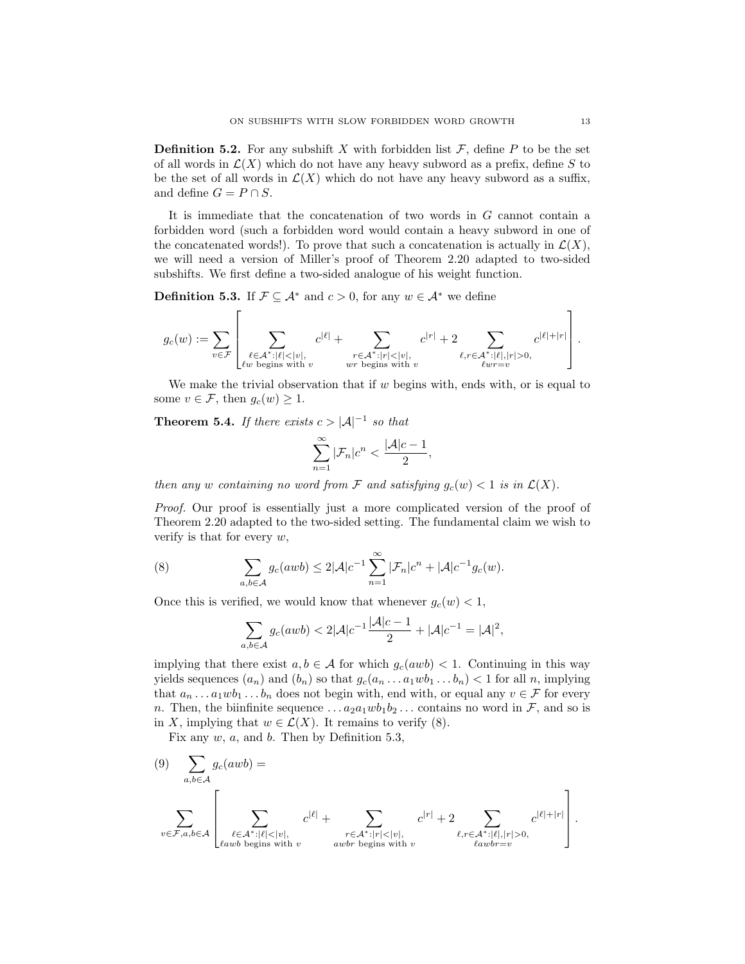**Definition 5.2.** For any subshift X with forbidden list  $\mathcal{F}$ , define P to be the set of all words in  $\mathcal{L}(X)$  which do not have any heavy subword as a prefix, define S to be the set of all words in  $\mathcal{L}(X)$  which do not have any heavy subword as a suffix, and define  $G = P \cap S$ .

It is immediate that the concatenation of two words in  $G$  cannot contain a forbidden word (such a forbidden word would contain a heavy subword in one of the concatenated words!). To prove that such a concatenation is actually in  $\mathcal{L}(X)$ , we will need a version of Miller's proof of Theorem 2.20 adapted to two-sided subshifts. We first define a two-sided analogue of his weight function.

**Definition 5.3.** If  $\mathcal{F} \subseteq \mathcal{A}^*$  and  $c > 0$ , for any  $w \in \mathcal{A}^*$  we define

$$
g_c(w):=\sum_{v\in \mathcal{F}}\left[\sum_{\substack{\ell\in \mathcal{A}^*:\vert\ell\vert<\vert v\vert,\\ \ell w \text{ begins with } v}}c^{\vert\ell\vert}+\sum_{\substack{r\in \mathcal{A}^*:\vert r\vert<\vert v\vert,\\ wr \text{ begins with } v}}c^{\vert r\vert}+2\sum_{\substack{\ell,r\in \mathcal{A}^*:\vert\ell\vert, \vert r\vert>0,\\ \ell w r=v}}c^{\vert\ell\vert+\vert r\vert}\right].
$$

We make the trivial observation that if  $w$  begins with, ends with, or is equal to some  $v \in \mathcal{F}$ , then  $g_c(w) \geq 1$ .

**Theorem 5.4.** If there exists  $c > |\mathcal{A}|^{-1}$  so that

$$
\sum_{n=1}^{\infty} |\mathcal{F}_n| c^n < \frac{|\mathcal{A}| c - 1}{2},
$$

then any w containing no word from F and satisfying  $g_c(w) < 1$  is in  $\mathcal{L}(X)$ .

Proof. Our proof is essentially just a more complicated version of the proof of Theorem 2.20 adapted to the two-sided setting. The fundamental claim we wish to verify is that for every  $w$ ,

(8) 
$$
\sum_{a,b\in\mathcal{A}} g_c(awb) \leq 2|\mathcal{A}|c^{-1}\sum_{n=1}^{\infty} |\mathcal{F}_n|c^n + |\mathcal{A}|c^{-1}g_c(w).
$$

Once this is verified, we would know that whenever  $g_c(w) < 1$ ,

$$
\sum_{a,b\in\mathcal{A}} g_c(awb) < 2|\mathcal{A}|c^{-1}\frac{|\mathcal{A}|c-1}{2} + |\mathcal{A}|c^{-1} = |\mathcal{A}|^2,
$$

implying that there exist  $a, b \in \mathcal{A}$  for which  $g_c(awb) < 1$ . Continuing in this way yields sequences  $(a_n)$  and  $(b_n)$  so that  $g_c(a_n \ldots a_1 w b_1 \ldots b_n) < 1$  for all n, implying that  $a_n \dots a_1 w b_1 \dots b_n$  does not begin with, end with, or equal any  $v \in \mathcal{F}$  for every n. Then, the biinfinite sequence  $\dots a_2 a_1 w b_1 b_2 \dots$  contains no word in F, and so is in X, implying that  $w \in \mathcal{L}(X)$ . It remains to verify (8).

Fix any  $w$ ,  $a$ , and  $b$ . Then by Definition 5.3,

(9) 
$$
\sum_{a,b\in\mathcal{A}} g_c(awb) =
$$

$$
\sum_{v\in\mathcal{F},a,b\in\mathcal{A}} \left[ \sum_{\substack{\ell\in\mathcal{A}^*:|\ell|<|v|,\\ \ell awb \text{ begins with } v}} c^{|\ell|} + \sum_{\substack{r\in\mathcal{A}^*:|r|<|v|,\\awb \text{ begins with } v}} c^{|r|} + 2 \sum_{\substack{\ell,r\in\mathcal{A}^*:|\ell|,|r|>0,\\ \ell awb r=v}} c^{|\ell|+|r|} \right].
$$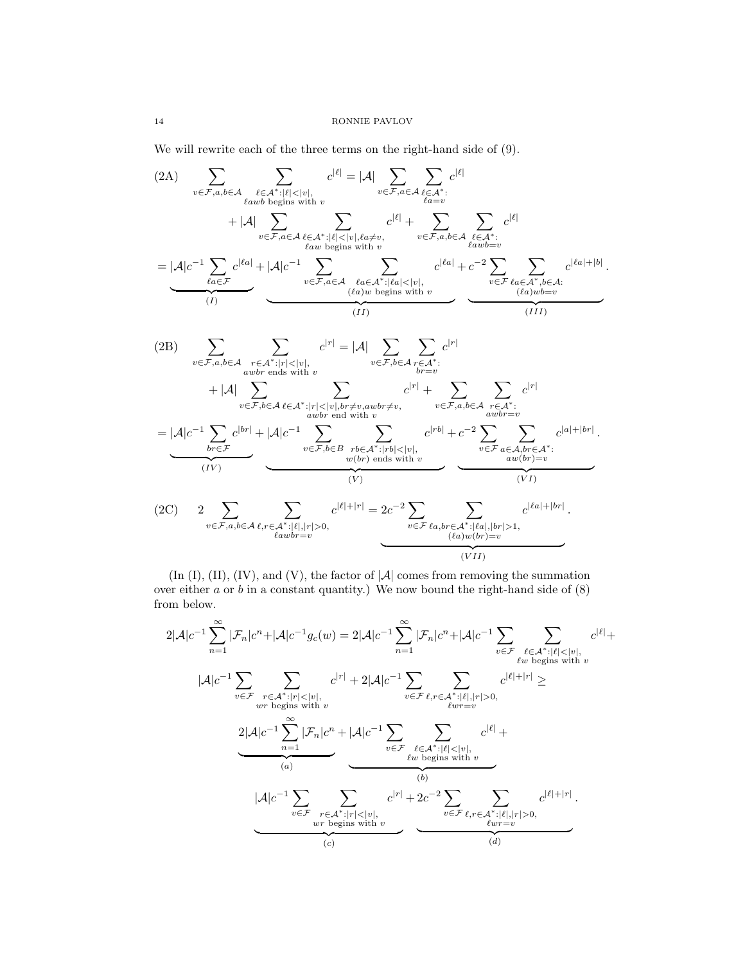We will rewrite each of the three terms on the right-hand side of (9).

$$
(2A) \sum_{v \in \mathcal{F}, a, b \in \mathcal{A}} \sum_{\ell \text{atw } b \text{ begins with } v} c^{|\ell|} = |\mathcal{A}| \sum_{v \in \mathcal{F}, a \in \mathcal{A}} \sum_{\ell \in \mathcal{A}^* : \ell \leq |v|, \ell \neq v} c^{|\ell|} + |\mathcal{A}| \sum_{v \in \mathcal{F}, a \in \mathcal{A}} \sum_{\ell \in \mathcal{A}^* : \ell \leq |v|, \ell \neq v} c^{|\ell|} + \sum_{\ell \in \mathcal{F}, a, b \in \mathcal{A}} \sum_{\ell \text{atw } b \text{ begins with } v} c^{|\ell|} + |\mathcal{A}| c^{-1} \sum_{\ell \text{atw } b \text{ begins with } v} c^{|\ell|} + \sum_{\ell \text{atw } b \text{ signs with } v} c^{|\ell|} + c^{-2} \sum_{\ell \text{atw } b \text{ returns } v} c^{|\ell|} + \sum_{\ell \text{atw } b \text{ regions with } v} c^{|\ell|} + c^{-2} \sum_{\ell \in \mathcal{F}, a, \ell \in \mathcal{A}^*, b \in \mathcal{A}} \sum_{\ell \text{atw } b \text{ regions with } v} c^{|\ell|} + |\mathcal{A}| c^{-1} \sum_{\ell \in \mathcal{F}, a, b \in \mathcal{A}} \sum_{\ell \text{atw } b \text{ regions with } v} c^{|\ell|} + |\mathcal{A}| \sum_{\ell \in \mathcal{F}, a, b \in \mathcal{A}} \sum_{\ell \text{atw } b \text{ regions with } v} c^{|\ell|} + |\mathcal{A}| \sum_{\ell \in \mathcal{F}, b \in \mathcal{A}} \sum_{\ell \text{atw } b \text{ regions with } v} c^{|\ell|} + |\mathcal{A}| \sum_{\ell \in \mathcal{F}, b \in \mathcal{A}} \sum_{\ell \text{atw } b \text{ regions with } v} c^{|\ell|} + \sum_{\ell \text{atw } b \text{ regions with } v} c^{|\ell|} + |\mathcal{A}| \sum_{\ell \text{atw } b \text{ regions with } v} c^{|\ell|} + |\mathcal{A}| \sum_{\ell \text{atw } b \text{ regions with } v} c^{|\ell|} + |\mathcal{A}| \sum_{\ell \text{
$$

(In (I), (II), (IV), and (V), the factor of  $|\mathcal{A}|$  comes from removing the summation over either  $a$  or  $b$  in a constant quantity.) We now bound the right-hand side of  $(8)$ from below.

$$
2|\mathcal{A}|c^{-1}\sum_{n=1}^{\infty}|\mathcal{F}_n|c^n+|\mathcal{A}|c^{-1}g_c(w)=2|\mathcal{A}|c^{-1}\sum_{n=1}^{\infty}|\mathcal{F}_n|c^n+|\mathcal{A}|c^{-1}\sum_{v\in\mathcal{F}}\sum_{\ell\in\mathcal{A}^*:\|\ell|<|v|, \atop \ell w \text{ begins with } v}c^{|\ell|}+\\|\mathcal{A}|c^{-1}\sum_{v\in\mathcal{F}}\sum_{\substack{r\in\mathcal{A}^*:\|r|<|v|, \atop \ell w \text{ begins with } v}}c^{|r|}+2|\mathcal{A}|c^{-1}\sum_{v\in\mathcal{F}}\sum_{\ell,r\in\mathcal{A}^*:\|\ell|,|r|>0, \atop \ell w r - v}c^{|\ell|+|r|}\geq\\2|\mathcal{A}|c^{-1}\sum_{n=1}^{\infty}|\mathcal{F}_n|c^n+|\mathcal{A}|c^{-1}\sum_{v\in\mathcal{F}}\sum_{\substack{\ell\in\mathcal{A}^*:\|\ell|<|v|, \atop \ell w \text{ begins with } v}}c^{|\ell|+|r|}+\\(\text{where } \ell w \text{ begins with } v\text{ is given by } \epsilon w \text{ for } w \text{ to } w \text{ and } w
$$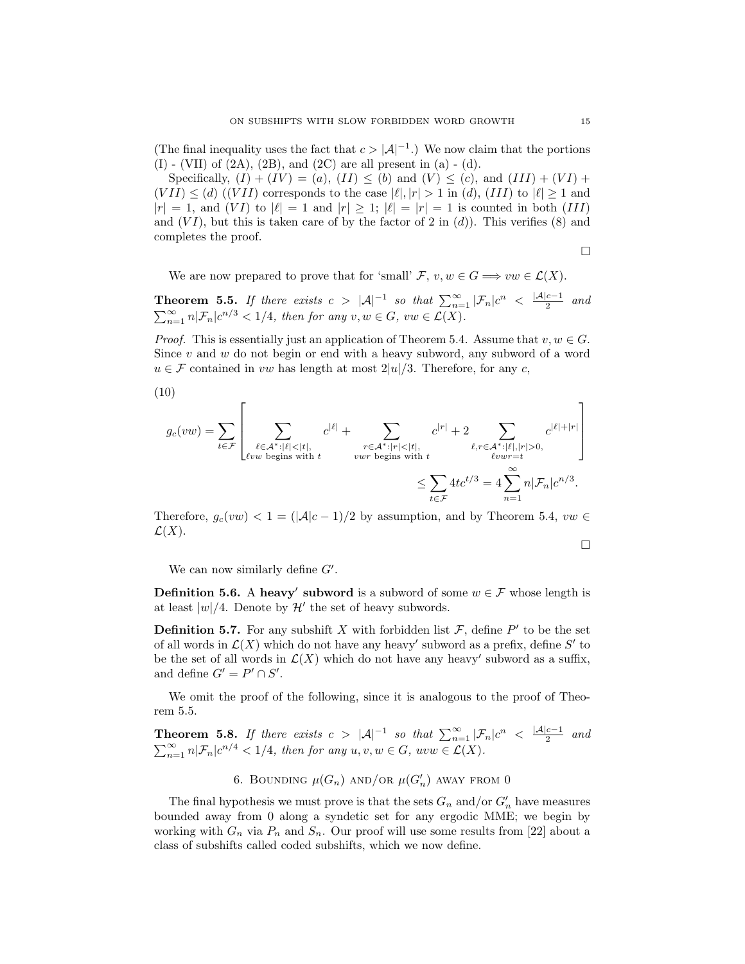(The final inequality uses the fact that  $c > |\mathcal{A}|^{-1}$ .) We now claim that the portions  $(I)$  - (VII) of  $(2A)$ ,  $(2B)$ , and  $(2C)$  are all present in  $(a)$  -  $(d)$ .

Specifically,  $(I) + (IV) = (a)$ ,  $(II) \leq (b)$  and  $(V) \leq (c)$ , and  $(III) + (VI) +$  $(VII) \leq (d)$   $((VII)$  corresponds to the case  $|\ell|, |r| > 1$  in  $(d)$ ,  $(III)$  to  $|\ell| \geq 1$  and  $|r| = 1$ , and  $(VI)$  to  $|\ell| = 1$  and  $|r| \geq 1$ ;  $|\ell| = |r| = 1$  is counted in both  $(III)$ and  $(VI)$ , but this is taken care of by the factor of 2 in  $(d)$ ). This verifies (8) and completes the proof.

$$
\qquad \qquad \Box
$$

We are now prepared to prove that for 'small'  $\mathcal{F}, v, w \in G \Longrightarrow vw \in \mathcal{L}(X)$ .

Theorem 5.5. If there exists  $c > |\mathcal{A}|^{-1}$  so that  $\sum_{n=1}^{\infty} |\mathcal{F}_n| c^n < \frac{|\mathcal{A}| c - 1}{2}$  $rac{c-1}{2}$  and  $\sum_{n=1}^{\infty} n|\mathcal{F}_n|c^{n/3} < 1/4$ , then for any  $v, w \in G$ ,  $vw \in \mathcal{L}(X)$ .

*Proof.* This is essentially just an application of Theorem 5.4. Assume that  $v, w \in G$ . Since  $v$  and  $w$  do not begin or end with a heavy subword, any subword of a word  $u \in \mathcal{F}$  contained in vw has length at most  $2|u|/3$ . Therefore, for any c,

$$
(10)
$$

$$
g_c(vw) = \sum_{t \in \mathcal{F}} \left[ \sum_{\substack{\ell \in \mathcal{A}^* : |\ell| < |t|, \\ \ell vw \text{ begins with } t}} c^{|\ell|} + \sum_{\substack{r \in \mathcal{A}^* : |r| < |t|, \\ vwr \text{ begins with } t}} c^{|r|} + 2 \sum_{\substack{\ell, r \in \mathcal{A}^* : |\ell|, |r| > 0, \\ \ell vwr = t}} c^{|\ell| + |r|} \right]
$$

$$
\leq \sum_{t \in \mathcal{F}} 4tc^{t/3} = 4 \sum_{n=1}^{\infty} n |\mathcal{F}_n| c^{n/3}.
$$

Therefore,  $g_c(vw) < 1 = (|\mathcal{A}|c-1)/2$  by assumption, and by Theorem 5.4,  $vw \in$  $\mathcal{L}(X)$ .

$$
\Box
$$

We can now similarly define  $G'$ .

**Definition 5.6.** A heavy' subword is a subword of some  $w \in \mathcal{F}$  whose length is at least  $|w|/4$ . Denote by  $\mathcal{H}'$  the set of heavy subwords.

**Definition 5.7.** For any subshift X with forbidden list  $\mathcal{F}$ , define P' to be the set of all words in  $\mathcal{L}(X)$  which do not have any heavy' subword as a prefix, define S' to be the set of all words in  $\mathcal{L}(X)$  which do not have any heavy' subword as a suffix, and define  $G'=P'\cap S'.$ 

We omit the proof of the following, since it is analogous to the proof of Theorem 5.5.

Theorem 5.8. If there exists  $c > |\mathcal{A}|^{-1}$  so that  $\sum_{n=1}^{\infty} |\mathcal{F}_n| c^n < \frac{|\mathcal{A}| c - 1}{2}$  $rac{c-1}{2}$  and  $\sum_{n=1}^{\infty} n|\mathcal{F}_n|c^{n/4} < 1/4$ , then for any  $u, v, w \in G$ ,  $uvw \in \mathcal{L}(X)$ .

6. BOUNDING  $\mu(G_n)$  AND/OR  $\mu(G'_n)$  AWAY FROM 0

The final hypothesis we must prove is that the sets  $G_n$  and/or  $G'_n$  have measures bounded away from 0 along a syndetic set for any ergodic MME; we begin by working with  $G_n$  via  $P_n$  and  $S_n$ . Our proof will use some results from [22] about a class of subshifts called coded subshifts, which we now define.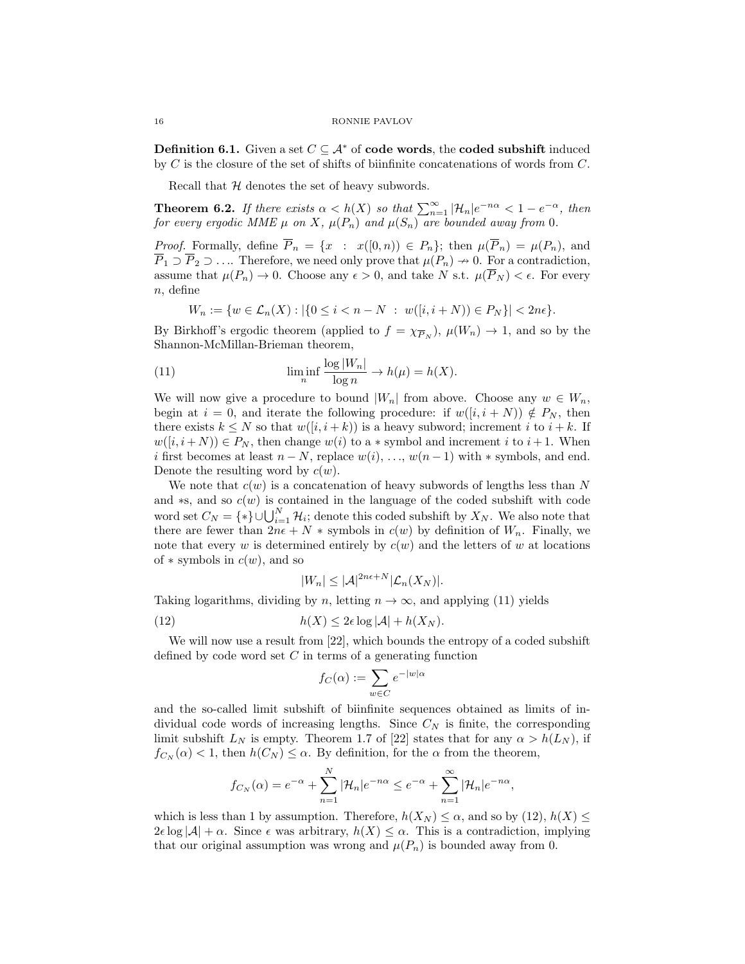**Definition 6.1.** Given a set  $C \subseteq A^*$  of **code words**, the **coded subshift** induced by  $C$  is the closure of the set of shifts of biinfinite concatenations of words from  $C$ .

Recall that  $H$  denotes the set of heavy subwords.

**Theorem 6.2.** If there exists  $\alpha < h(X)$  so that  $\sum_{n=1}^{\infty} |\mathcal{H}_n|e^{-n\alpha} < 1 - e^{-\alpha}$ , then for every ergodic MME  $\mu$  on X,  $\mu(P_n)$  and  $\mu(S_n)$  are bounded away from 0.

*Proof.* Formally, define  $\overline{P}_n = \{x : x([0,n)) \in P_n\}$ ; then  $\mu(\overline{P}_n) = \mu(P_n)$ , and  $\overline{P}_1 \supset \overline{P}_2 \supset \ldots$  Therefore, we need only prove that  $\mu(P_n) \to 0$ . For a contradiction, assume that  $\mu(P_n) \to 0$ . Choose any  $\epsilon > 0$ , and take N s.t.  $\mu(\overline{P}_N) < \epsilon$ . For every  $n$ , define

$$
W_n := \{ w \in \mathcal{L}_n(X) : |\{ 0 \le i < n - N \ : \ w([i, i + N)) \in P_N \}| < 2n\epsilon \}.
$$

By Birkhoff's ergodic theorem (applied to  $f = \chi_{\overline{P}_N}$ ),  $\mu(W_n) \to 1$ , and so by the Shannon-McMillan-Brieman theorem,

(11) 
$$
\liminf_{n} \frac{\log |W_n|}{\log n} \to h(\mu) = h(X).
$$

We will now give a procedure to bound  $|W_n|$  from above. Choose any  $w \in W_n$ , begin at  $i = 0$ , and iterate the following procedure: if  $w([i, i + N)) \notin P_N$ , then there exists  $k \leq N$  so that  $w([i, i + k))$  is a heavy subword; increment i to  $i + k$ . If  $w([i, i+N)) \in P_N$ , then change  $w(i)$  to a  $*$  symbol and increment i to  $i+1$ . When i first becomes at least  $n - N$ , replace  $w(i), \ldots, w(n-1)$  with  $*$  symbols, and end. Denote the resulting word by  $c(w)$ .

We note that  $c(w)$  is a concatenation of heavy subwords of lengths less than N and  $*$ s, and so  $c(w)$  is contained in the language of the coded subshift with code word set  $C_N = \{*\} \cup \bigcup_{i=1}^N \mathcal{H}_i$ ; denote this coded subshift by  $X_N$ . We also note that there are fewer than  $2n\epsilon + N *$  symbols in  $c(w)$  by definition of  $W_n$ . Finally, we note that every w is determined entirely by  $c(w)$  and the letters of w at locations of  $*$  symbols in  $c(w)$ , and so

$$
|W_n| \leq |\mathcal{A}|^{2n\epsilon + N} |\mathcal{L}_n(X_N)|.
$$

Taking logarithms, dividing by n, letting  $n \to \infty$ , and applying (11) yields

(12) 
$$
h(X) \leq 2\epsilon \log |\mathcal{A}| + h(X_N).
$$

We will now use a result from [22], which bounds the entropy of a coded subshift defined by code word set  $C$  in terms of a generating function

$$
f_C(\alpha) := \sum_{w \in C} e^{-|w|\alpha}
$$

and the so-called limit subshift of biinfinite sequences obtained as limits of individual code words of increasing lengths. Since  $C_N$  is finite, the corresponding limit subshift  $L_N$  is empty. Theorem 1.7 of [22] states that for any  $\alpha > h(L_N)$ , if  $f_{C_N}(\alpha) < 1$ , then  $h(C_N) \leq \alpha$ . By definition, for the  $\alpha$  from the theorem,

$$
f_{C_N}(\alpha) = e^{-\alpha} + \sum_{n=1}^N |\mathcal{H}_n| e^{-n\alpha} \le e^{-\alpha} + \sum_{n=1}^\infty |\mathcal{H}_n| e^{-n\alpha},
$$

which is less than 1 by assumption. Therefore,  $h(X_N) \leq \alpha$ , and so by (12),  $h(X) \leq$  $2\epsilon \log |\mathcal{A}| + \alpha$ . Since  $\epsilon$  was arbitrary,  $h(X) \leq \alpha$ . This is a contradiction, implying that our original assumption was wrong and  $\mu(P_n)$  is bounded away from 0.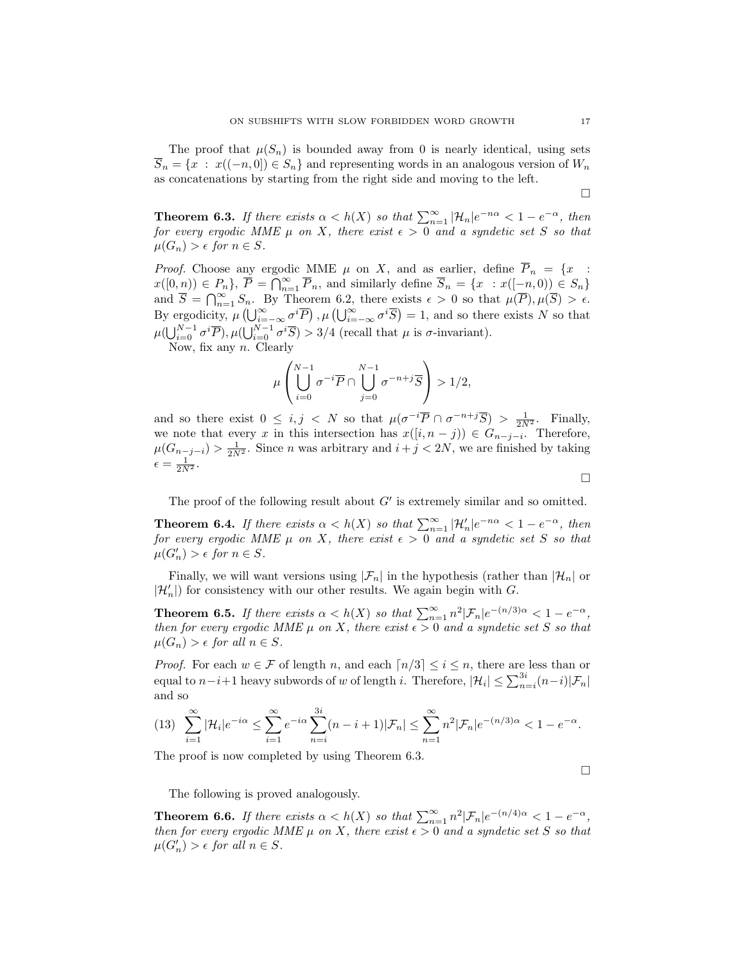The proof that  $\mu(S_n)$  is bounded away from 0 is nearly identical, using sets  $\overline{S}_n = \{x : x((-n, 0]) \in S_n\}$  and representing words in an analogous version of  $W_n$ as concatenations by starting from the right side and moving to the left.

 $\Box$ 

**Theorem 6.3.** If there exists  $\alpha < h(X)$  so that  $\sum_{n=1}^{\infty} |\mathcal{H}_n|e^{-n\alpha} < 1 - e^{-\alpha}$ , then for every ergodic MME  $\mu$  on X, there exist  $\epsilon > 0$  and a syndetic set S so that  $\mu(G_n) > \epsilon$  for  $n \in S$ .

*Proof.* Choose any ergodic MME  $\mu$  on X, and as earlier, define  $\overline{P}_n = \{x :$  $x([0,n)) \in P_n$ ,  $\overline{P} = \bigcap_{n=1}^{\infty} \overline{P}_n$ , and similarly define  $\overline{S}_n = \{x : x([-n,0)) \in S_n\}$ and  $\overline{S} = \bigcap_{n=1}^{\infty} S_n$ . By Theorem 6.2, there exists  $\epsilon > 0$  so that  $\mu(\overline{P}), \mu(\overline{S}) > \epsilon$ . By ergodicity,  $\mu\left(\bigcup_{i=-\infty}^{\infty} \sigma^i \overline{P}\right), \mu\left(\bigcup_{i=-\infty}^{\infty} \sigma^i \overline{S}\right) = 1$ , and so there exists N so that  $\mu(\bigcup_{i=0}^{N-1} \sigma^i \overline{P}), \mu(\bigcup_{i=0}^{N-1} \sigma^i \overline{S}) > 3/4$  (recall that  $\mu$  is  $\sigma$ -invariant).

Now, fix any  $n$ . Clearly

$$
\mu\left(\bigcup_{i=0}^{N-1}\sigma^{-i}\overline{P}\cap\bigcup_{j=0}^{N-1}\sigma^{-n+j}\overline{S}\right) > 1/2,
$$

and so there exist  $0 \le i, j \lt N$  so that  $\mu(\sigma^{-i}\overline{P} \cap \sigma^{-n+j}\overline{S}) > \frac{1}{2N^2}$ . Finally, we note that every x in this intersection has  $x([i, n - j)) \in G_{n-j-i}$ . Therefore,  $\mu(G_{n-j-i}) > \frac{1}{2N^2}$ . Since *n* was arbitrary and  $i + j < 2N$ , we are finished by taking  $\epsilon = \frac{1}{2N^2}.$ 

 $\Box$ 

The proof of the following result about  $G'$  is extremely similar and so omitted.

**Theorem 6.4.** If there exists  $\alpha < h(X)$  so that  $\sum_{n=1}^{\infty} |\mathcal{H}'_n|e^{-n\alpha} < 1 - e^{-\alpha}$ , then for every ergodic MME  $\mu$  on X, there exist  $\epsilon > 0$  and a syndetic set S so that  $\mu(G'_n) > \epsilon \text{ for } n \in S.$ 

Finally, we will want versions using  $|\mathcal{F}_n|$  in the hypothesis (rather than  $|\mathcal{H}_n|$  or  $|\mathcal{H}_n'|)$  for consistency with our other results. We again begin with  $G.$ 

**Theorem 6.5.** If there exists  $\alpha < h(X)$  so that  $\sum_{n=1}^{\infty} n^2 |\mathcal{F}_n| e^{-(n/3)\alpha} < 1 - e^{-\alpha}$ , then for every ergodic MME  $\mu$  on X, there exist  $\epsilon > 0$  and a syndetic set S so that  $\mu(G_n) > \epsilon$  for all  $n \in S$ .

*Proof.* For each  $w \in \mathcal{F}$  of length n, and each  $\lceil n/3 \rceil \leq i \leq n$ , there are less than or equal to  $n-i+1$  heavy subwords of w of length i. Therefore,  $|\mathcal{H}_i| \leq \sum_{n=i}^{3i} (n-i)|\mathcal{F}_n|$ and so

$$
(13)\sum_{i=1}^{\infty}|\mathcal{H}_i|e^{-i\alpha} \leq \sum_{i=1}^{\infty}e^{-i\alpha}\sum_{n=i}^{3i}(n-i+1)|\mathcal{F}_n| \leq \sum_{n=1}^{\infty}n^2|\mathcal{F}_n|e^{-(n/3)\alpha} < 1 - e^{-\alpha}.
$$

The proof is now completed by using Theorem 6.3.

 $\Box$ 

The following is proved analogously.

**Theorem 6.6.** If there exists  $\alpha < h(X)$  so that  $\sum_{n=1}^{\infty} n^2 |\mathcal{F}_n| e^{-(n/4)\alpha} < 1 - e^{-\alpha}$ , then for every ergodic MME  $\mu$  on X, there exist  $\epsilon > 0$  and a syndetic set S so that  $\mu(G'_n) > \epsilon$  for all  $n \in S$ .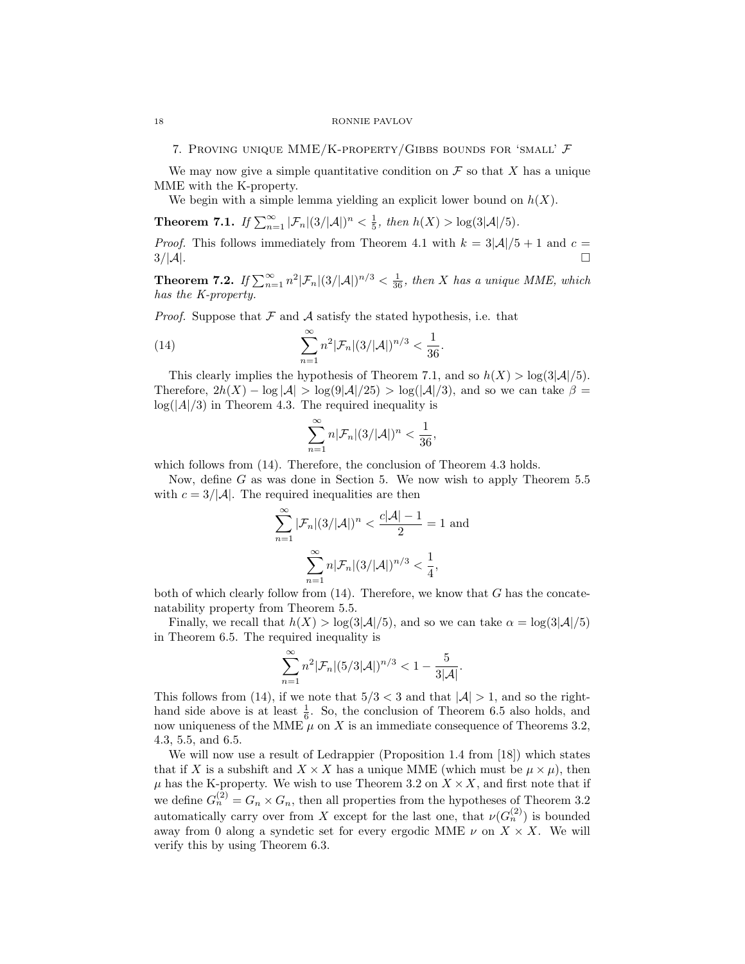7. PROVING UNIQUE MME/K-PROPERTY/GIBBS BOUNDS FOR 'SMALL'  $\mathcal F$ 

We may now give a simple quantitative condition on  $\mathcal F$  so that X has a unique MME with the K-property.

We begin with a simple lemma yielding an explicit lower bound on  $h(X)$ .

**Theorem 7.1.** If  $\sum_{n=1}^{\infty} |\mathcal{F}_n|(3/|\mathcal{A}|)^n < \frac{1}{5}$ , then  $h(X) > \log(3|\mathcal{A}|/5)$ .

*Proof.* This follows immediately from Theorem 4.1 with  $k = 3|\mathcal{A}|/5 + 1$  and  $c =$  $3/|\mathcal{A}|$ .

**Theorem 7.2.** If  $\sum_{n=1}^{\infty} n^2 |\mathcal{F}_n|(3/|\mathcal{A}|)^{n/3} < \frac{1}{36}$ , then X has a unique MME, which has the K-property.

*Proof.* Suppose that  $\mathcal F$  and  $\mathcal A$  satisfy the stated hypothesis, i.e. that

(14) 
$$
\sum_{n=1}^{\infty} n^2 |\mathcal{F}_n|(3/|\mathcal{A}|)^{n/3} < \frac{1}{36}.
$$

This clearly implies the hypothesis of Theorem 7.1, and so  $h(X) > log(3|\mathcal{A}|/5)$ . Therefore,  $2h(X) - \log |\mathcal{A}| > \log(9|\mathcal{A}|/25) > \log(|\mathcal{A}|/3)$ , and so we can take  $\beta =$  $log(|A|/3)$  in Theorem 4.3. The required inequality is

$$
\sum_{n=1}^{\infty} n|\mathcal{F}_n|(3/|\mathcal{A}|)^n < \frac{1}{36},
$$

which follows from  $(14)$ . Therefore, the conclusion of Theorem 4.3 holds.

Now, define G as was done in Section 5. We now wish to apply Theorem 5.5 with  $c = 3/|\mathcal{A}|$ . The required inequalities are then

$$
\sum_{n=1}^{\infty} |\mathcal{F}_n|(3/|\mathcal{A}|)^n < \frac{c|\mathcal{A}| - 1}{2} = 1
$$
 and  

$$
\sum_{n=1}^{\infty} n|\mathcal{F}_n|(3/|\mathcal{A}|)^{n/3} < \frac{1}{4},
$$

both of which clearly follow from  $(14)$ . Therefore, we know that G has the concatenatability property from Theorem 5.5.

Finally, we recall that  $h(X) > \log(3|\mathcal{A}|/5)$ , and so we can take  $\alpha = \log(3|\mathcal{A}|/5)$ in Theorem 6.5. The required inequality is

$$
\sum_{n=1}^{\infty} n^2 |\mathcal{F}_n|(5/3|\mathcal{A}|)^{n/3} < 1 - \frac{5}{3|\mathcal{A}|}.
$$

This follows from (14), if we note that  $5/3 < 3$  and that  $|\mathcal{A}| > 1$ , and so the righthand side above is at least  $\frac{1}{6}$ . So, the conclusion of Theorem 6.5 also holds, and now uniqueness of the MME  $\mu$  on X is an immediate consequence of Theorems 3.2, 4.3, 5.5, and 6.5.

We will now use a result of Ledrappier (Proposition 1.4 from [18]) which states that if X is a subshift and  $X \times X$  has a unique MME (which must be  $\mu \times \mu$ ), then  $\mu$  has the K-property. We wish to use Theorem 3.2 on  $X \times X$ , and first note that if we define  $G_n^{(2)} = G_n \times G_n$ , then all properties from the hypotheses of Theorem 3.2 automatically carry over from X except for the last one, that  $\nu(G_n^{(2)})$  is bounded away from 0 along a syndetic set for every ergodic MME  $\nu$  on  $X \times X$ . We will verify this by using Theorem 6.3.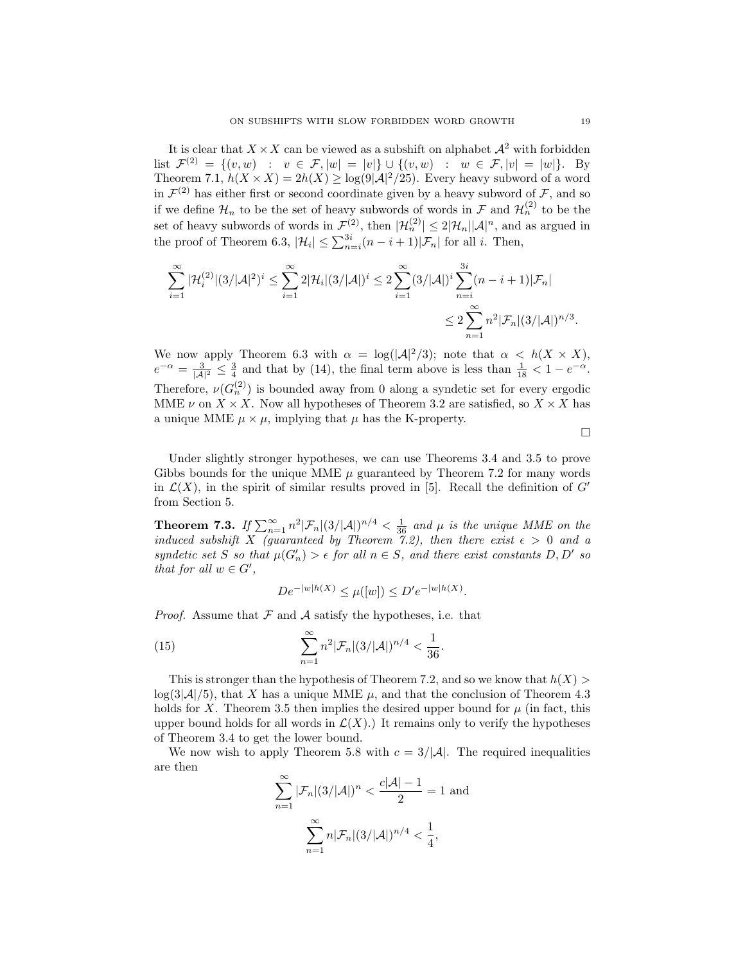It is clear that  $X \times X$  can be viewed as a subshift on alphabet  $\mathcal{A}^2$  with forbidden list  $\mathcal{F}^{(2)} = \{(v, w) : v \in \mathcal{F}, |w| = |v|\} \cup \{(v, w) : w \in \mathcal{F}, |v| = |w|\}.$  By Theorem 7.1,  $h(X \times X) = 2h(X) \ge \log(9|\mathcal{A}|^2/25)$ . Every heavy subword of a word in  $\mathcal{F}^{(2)}$  has either first or second coordinate given by a heavy subword of  $\mathcal{F}$ , and so if we define  $\mathcal{H}_n$  to be the set of heavy subwords of words in  $\mathcal{F}$  and  $\mathcal{H}_n^{(2)}$  to be the set of heavy subwords of words in  $\mathcal{F}^{(2)}$ , then  $|\mathcal{H}_n^{(2)}| \leq 2|\mathcal{H}_n||\mathcal{A}|^n$ , and as argued in the proof of Theorem 6.3,  $|\mathcal{H}_i| \leq \sum_{n=i}^{3i} (n-i+1)|\mathcal{F}_n|$  for all *i*. Then,

$$
\sum_{i=1}^{\infty} |\mathcal{H}_i^{(2)}| (3/|\mathcal{A}|^2)^i \leq \sum_{i=1}^{\infty} 2|\mathcal{H}_i| (3/|\mathcal{A}|)^i \leq 2 \sum_{i=1}^{\infty} (3/|\mathcal{A}|)^i \sum_{n=i}^{3i} (n-i+1)|\mathcal{F}_n|
$$
  

$$
\leq 2 \sum_{n=1}^{\infty} n^2 |\mathcal{F}_n| (3/|\mathcal{A}|)^{n/3}.
$$

We now apply Theorem 6.3 with  $\alpha = \log(|\mathcal{A}|^2/3)$ ; note that  $\alpha < h(X \times X)$ ,  $e^{-\alpha} = \frac{3}{|A|^2} \leq \frac{3}{4}$  and that by (14), the final term above is less than  $\frac{1}{18} < 1 - e^{-\alpha}$ . Therefore,  $\nu(G_n^{(2)})$  is bounded away from 0 along a syndetic set for every ergodic MME  $\nu$  on  $X \times X$ . Now all hypotheses of Theorem 3.2 are satisfied, so  $X \times X$  has a unique MME  $\mu \times \mu$ , implying that  $\mu$  has the K-property.

 $\Box$ 

Under slightly stronger hypotheses, we can use Theorems 3.4 and 3.5 to prove Gibbs bounds for the unique MME  $\mu$  guaranteed by Theorem 7.2 for many words in  $\mathcal{L}(X)$ , in the spirit of similar results proved in [5]. Recall the definition of  $G'$ from Section 5.

**Theorem 7.3.** If  $\sum_{n=1}^{\infty} n^2 |\mathcal{F}_n|(3/|\mathcal{A}|)^{n/4} < \frac{1}{36}$  and  $\mu$  is the unique MME on the induced subshift X (guaranteed by Theorem 7.2), then there exist  $\epsilon > 0$  and a syndetic set S so that  $\mu(G'_n) > \epsilon$  for all  $n \in S$ , and there exist constants D, D' so that for all  $w \in G'$ ,

$$
De^{-|w|h(X)} \leq \mu(|w|) \leq D'e^{-|w|h(X)}
$$
.

*Proof.* Assume that  $F$  and  $A$  satisfy the hypotheses, i.e. that

(15) 
$$
\sum_{n=1}^{\infty} n^2 |\mathcal{F}_n|(3/|\mathcal{A}|)^{n/4} < \frac{1}{36}.
$$

This is stronger than the hypothesis of Theorem 7.2, and so we know that  $h(X)$  $log(3|\mathcal{A}|/5)$ , that X has a unique MME  $\mu$ , and that the conclusion of Theorem 4.3 holds for X. Theorem 3.5 then implies the desired upper bound for  $\mu$  (in fact, this upper bound holds for all words in  $\mathcal{L}(X)$ . It remains only to verify the hypotheses of Theorem 3.4 to get the lower bound.

We now wish to apply Theorem 5.8 with  $c = 3/|\mathcal{A}|$ . The required inequalities are then

$$
\sum_{n=1}^{\infty} |\mathcal{F}_n|(3/|\mathcal{A}|)^n < \frac{c|\mathcal{A}| - 1}{2} = 1
$$
 and  

$$
\sum_{n=1}^{\infty} n|\mathcal{F}_n|(3/|\mathcal{A}|)^{n/4} < \frac{1}{4},
$$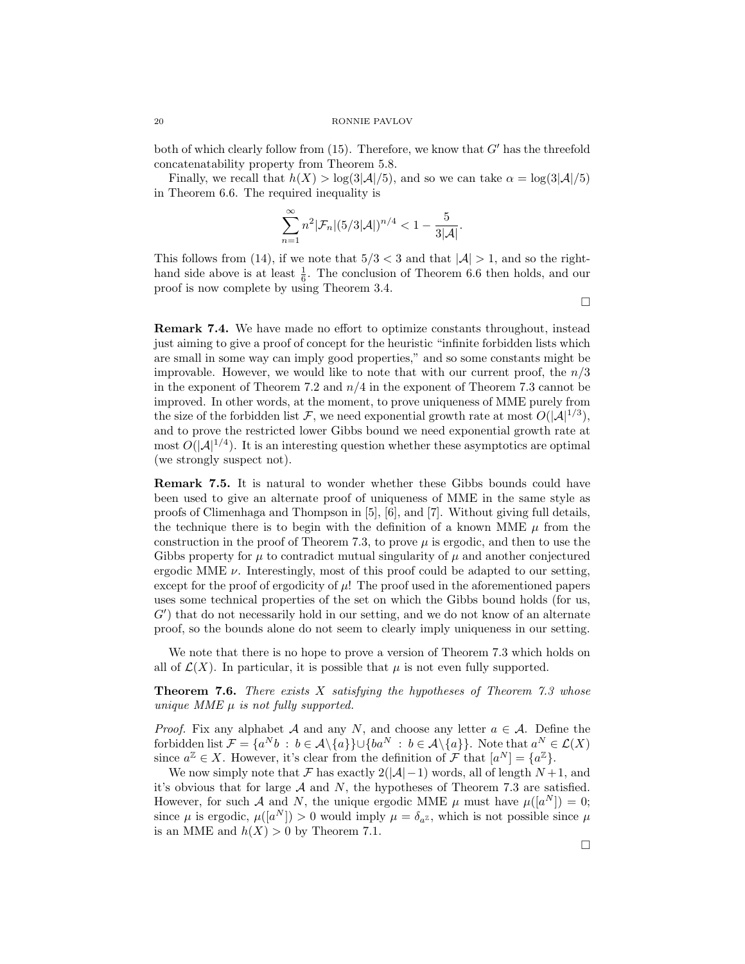both of which clearly follow from  $(15)$ . Therefore, we know that  $G'$  has the threefold concatenatability property from Theorem 5.8.

Finally, we recall that  $h(X) > \log(3|\mathcal{A}|/5)$ , and so we can take  $\alpha = \log(3|\mathcal{A}|/5)$ in Theorem 6.6. The required inequality is

$$
\sum_{n=1}^{\infty} n^2 |\mathcal{F}_n|(5/3|\mathcal{A}|)^{n/4} < 1 - \frac{5}{3|\mathcal{A}|}.
$$

This follows from (14), if we note that  $5/3 < 3$  and that  $|\mathcal{A}| > 1$ , and so the righthand side above is at least  $\frac{1}{6}$ . The conclusion of Theorem 6.6 then holds, and our proof is now complete by using Theorem 3.4.

 $\Box$ 

Remark 7.4. We have made no effort to optimize constants throughout, instead just aiming to give a proof of concept for the heuristic "infinite forbidden lists which are small in some way can imply good properties," and so some constants might be improvable. However, we would like to note that with our current proof, the  $n/3$ in the exponent of Theorem 7.2 and  $n/4$  in the exponent of Theorem 7.3 cannot be improved. In other words, at the moment, to prove uniqueness of MME purely from the size of the forbidden list F, we need exponential growth rate at most  $O(|\mathcal{A}|^{1/3})$ , and to prove the restricted lower Gibbs bound we need exponential growth rate at most  $O(|A|^{1/4})$ . It is an interesting question whether these asymptotics are optimal (we strongly suspect not).

Remark 7.5. It is natural to wonder whether these Gibbs bounds could have been used to give an alternate proof of uniqueness of MME in the same style as proofs of Climenhaga and Thompson in [5], [6], and [7]. Without giving full details, the technique there is to begin with the definition of a known MME  $\mu$  from the construction in the proof of Theorem 7.3, to prove  $\mu$  is ergodic, and then to use the Gibbs property for  $\mu$  to contradict mutual singularity of  $\mu$  and another conjectured ergodic MME  $\nu$ . Interestingly, most of this proof could be adapted to our setting, except for the proof of ergodicity of  $\mu$ ! The proof used in the aforementioned papers uses some technical properties of the set on which the Gibbs bound holds (for us,  $G'$ ) that do not necessarily hold in our setting, and we do not know of an alternate proof, so the bounds alone do not seem to clearly imply uniqueness in our setting.

We note that there is no hope to prove a version of Theorem 7.3 which holds on all of  $\mathcal{L}(X)$ . In particular, it is possible that  $\mu$  is not even fully supported.

**Theorem 7.6.** There exists X satisfying the hypotheses of Theorem 7.3 whose unique MME  $\mu$  is not fully supported.

*Proof.* Fix any alphabet A and any N, and choose any letter  $a \in A$ . Define the forbidden list  $\mathcal{F} = \{a^Nb : b \in \mathcal{A}\backslash\{a\}\} \cup \{ba^N : b \in \mathcal{A}\backslash\{a\}\}\$ . Note that  $a^N \in \mathcal{L}(X)$ since  $a^{\mathbb{Z}} \in X$ . However, it's clear from the definition of  $\mathcal{F}$  that  $[a^N] = \{a^{\mathbb{Z}}\}.$ 

We now simply note that F has exactly  $2(|A|-1)$  words, all of length  $N+1$ , and it's obvious that for large  $A$  and  $N$ , the hypotheses of Theorem 7.3 are satisfied. However, for such A and N, the unique ergodic MME  $\mu$  must have  $\mu([a^N]) = 0$ ; since  $\mu$  is ergodic,  $\mu([a^N]) > 0$  would imply  $\mu = \delta_{a^{\mathbb{Z}}}$ , which is not possible since  $\mu$ is an MME and  $h(X) > 0$  by Theorem 7.1.

 $\Box$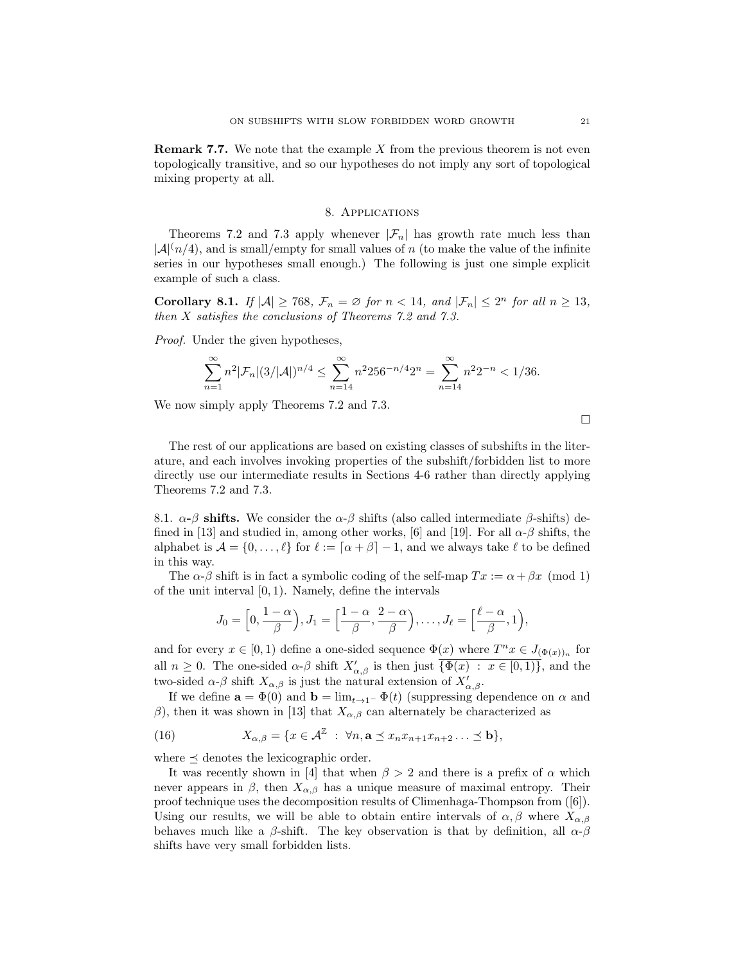**Remark 7.7.** We note that the example X from the previous theorem is not even topologically transitive, and so our hypotheses do not imply any sort of topological mixing property at all.

## 8. Applications

Theorems 7.2 and 7.3 apply whenever  $|\mathcal{F}_n|$  has growth rate much less than  $|\mathcal{A}|^{(n/4)}$ , and is small/empty for small values of n (to make the value of the infinite series in our hypotheses small enough.) The following is just one simple explicit example of such a class.

**Corollary 8.1.** If  $|\mathcal{A}| \ge 768$ ,  $\mathcal{F}_n = \emptyset$  for  $n < 14$ , and  $|\mathcal{F}_n| \le 2^n$  for all  $n \ge 13$ , then X satisfies the conclusions of Theorems 7.2 and 7.3.

Proof. Under the given hypotheses,

$$
\sum_{n=1}^{\infty} n^2 |\mathcal{F}_n|(3/|\mathcal{A}|)^{n/4} \le \sum_{n=14}^{\infty} n^2 256^{-n/4} 2^n = \sum_{n=14}^{\infty} n^2 2^{-n} < 1/36.
$$

We now simply apply Theorems 7.2 and 7.3.

 $\Box$ 

The rest of our applications are based on existing classes of subshifts in the literature, and each involves invoking properties of the subshift/forbidden list to more directly use our intermediate results in Sections 4-6 rather than directly applying Theorems 7.2 and 7.3.

8.1.  $\alpha$ -β shifts. We consider the  $\alpha$ -β shifts (also called intermediate β-shifts) defined in [13] and studied in, among other works, [6] and [19]. For all  $\alpha$ - $\beta$  shifts, the alphabet is  $\mathcal{A} = \{0, \ldots, \ell\}$  for  $\ell := \lceil \alpha + \beta \rceil - 1$ , and we always take  $\ell$  to be defined in this way.

The  $\alpha$ - $\beta$  shift is in fact a symbolic coding of the self-map  $Tx := \alpha + \beta x \pmod{1}$ of the unit interval [0, 1). Namely, define the intervals

$$
J_0 = \left[0, \frac{1-\alpha}{\beta}\right), J_1 = \left[\frac{1-\alpha}{\beta}, \frac{2-\alpha}{\beta}\right), \dots, J_\ell = \left[\frac{\ell-\alpha}{\beta}, 1\right),
$$

and for every  $x \in [0,1)$  define a one-sided sequence  $\Phi(x)$  where  $T^n x \in J_{(\Phi(x))_n}$  for all  $n \geq 0$ . The one-sided  $\alpha$ - $\beta$  shift  $X'_{\alpha,\beta}$  is then just  $\overline{\{\Phi(x) : x \in [0,1)\}}$ , and the two-sided  $\alpha$ - $\beta$  shift  $X_{\alpha,\beta}$  is just the natural extension of  $X'_{\alpha,\beta}$ .

If we define  $\mathbf{a} = \Phi(0)$  and  $\mathbf{b} = \lim_{t \to 1^-} \Phi(t)$  (suppressing dependence on  $\alpha$  and β), then it was shown in [13] that  $X_{\alpha,\beta}$  can alternately be characterized as

(16) 
$$
X_{\alpha,\beta} = \{x \in \mathcal{A}^{\mathbb{Z}} : \forall n, \mathbf{a} \leq x_n x_{n+1} x_{n+2} \dots \leq \mathbf{b}\},\
$$

where  $\prec$  denotes the lexicographic order.

It was recently shown in [4] that when  $\beta > 2$  and there is a prefix of  $\alpha$  which never appears in  $\beta$ , then  $X_{\alpha,\beta}$  has a unique measure of maximal entropy. Their proof technique uses the decomposition results of Climenhaga-Thompson from ([6]). Using our results, we will be able to obtain entire intervals of  $\alpha, \beta$  where  $X_{\alpha,\beta}$ behaves much like a β-shift. The key observation is that by definition, all  $\alpha$ -β shifts have very small forbidden lists.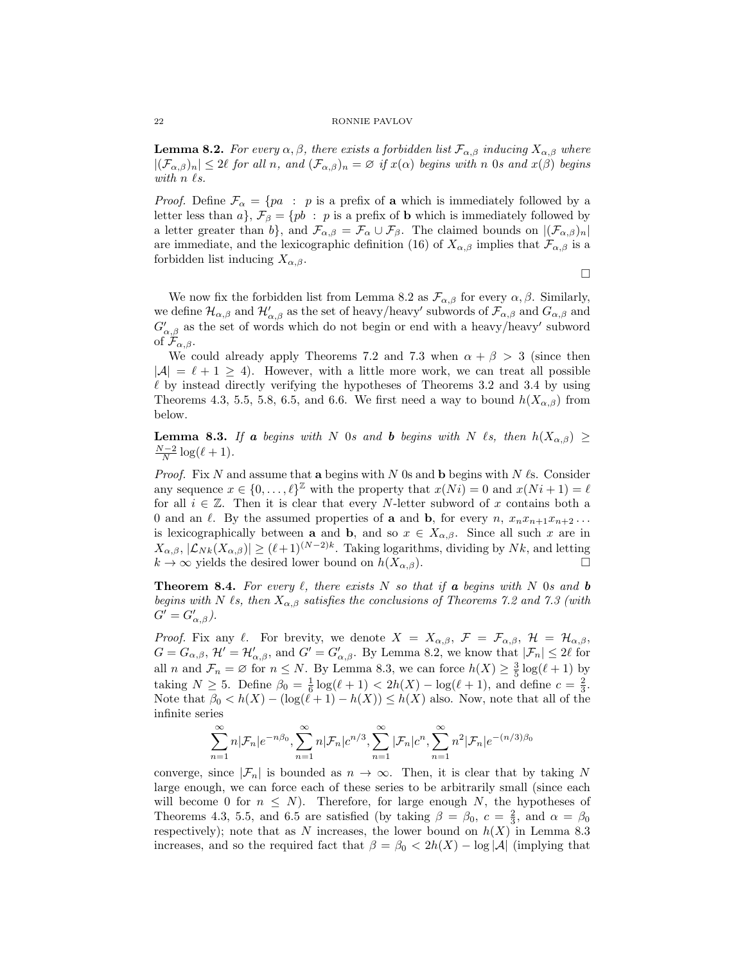**Lemma 8.2.** For every  $\alpha, \beta$ , there exists a forbidden list  $\mathcal{F}_{\alpha,\beta}$  inducing  $X_{\alpha,\beta}$  where  $|(\mathcal{F}_{\alpha,\beta})_n| \leq 2\ell$  for all n, and  $(\mathcal{F}_{\alpha,\beta})_n = \varnothing$  if  $x(\alpha)$  begins with n 0s and  $x(\beta)$  begins with  $n \ell s$ .

*Proof.* Define  $\mathcal{F}_{\alpha} = \{pa : p \text{ is a prefix of } \mathbf{a} \text{ which is immediately followed by } \mathbf{a} \}$ letter less than a,  $\mathcal{F}_{\beta} = \{pb : p \text{ is a prefix of } \mathbf{b} \text{ which is immediately followed by } \mathbf{c}$ a letter greater than b}, and  $\mathcal{F}_{\alpha,\beta} = \mathcal{F}_{\alpha} \cup \mathcal{F}_{\beta}$ . The claimed bounds on  $|(\mathcal{F}_{\alpha,\beta})_n|$ are immediate, and the lexicographic definition (16) of  $X_{\alpha,\beta}$  implies that  $\mathcal{F}_{\alpha,\beta}$  is a forbidden list inducing  $X_{\alpha,\beta}$ .

 $\Box$ 

We now fix the forbidden list from Lemma 8.2 as  $\mathcal{F}_{\alpha,\beta}$  for every  $\alpha,\beta$ . Similarly, we define  $\mathcal{H}_{\alpha,\beta}$  and  $\mathcal{H}'_{\alpha,\beta}$  as the set of heavy/heavy' subwords of  $\mathcal{F}_{\alpha,\beta}$  and  $G_{\alpha,\beta}$  and  $G'_{\alpha,\beta}$  as the set of words which do not begin or end with a heavy/heavy' subword of  $\mathcal{F}_{\alpha,\beta}$ .

We could already apply Theorems 7.2 and 7.3 when  $\alpha + \beta > 3$  (since then  $|\mathcal{A}| = \ell + 1 \ge 4$ . However, with a little more work, we can treat all possible  $\ell$  by instead directly verifying the hypotheses of Theorems 3.2 and 3.4 by using Theorems 4.3, 5.5, 5.8, 6.5, and 6.6. We first need a way to bound  $h(X_{\alpha,\beta})$  from below.

**Lemma 8.3.** If a begins with N 0s and b begins with N  $\ell$ s, then  $h(X_{\alpha,\beta}) \ge$  $\frac{N-2}{N}\log(\ell+1)$ .

*Proof.* Fix N and assume that a begins with N  $\alpha$  is and b begins with N  $\ell$ s. Consider any sequence  $x \in \{0, \ldots, \ell\}^{\mathbb{Z}}$  with the property that  $x(Ni) = 0$  and  $x(Ni + 1) = \ell$ for all  $i \in \mathbb{Z}$ . Then it is clear that every N-letter subword of x contains both a 0 and an  $\ell$ . By the assumed properties of **a** and **b**, for every  $n, x_nx_{n+1}x_{n+2}...$ is lexicographically between **a** and **b**, and so  $x \in X_{\alpha,\beta}$ . Since all such x are in  $X_{\alpha,\beta}, |\mathcal{L}_{Nk}(X_{\alpha,\beta})| \geq (\ell+1)^{(N-2)k}$ . Taking logarithms, dividing by Nk, and letting  $k \to \infty$  yields the desired lower bound on  $h(X_{\alpha,\beta})$ .

**Theorem 8.4.** For every  $\ell$ , there exists N so that if a begins with N 0s and b begins with N  $\ell$ s, then  $X_{\alpha,\beta}$  satisfies the conclusions of Theorems 7.2 and 7.3 (with  $G' = G'_{\alpha,\beta}$ ).

*Proof.* Fix any  $\ell$ . For brevity, we denote  $X = X_{\alpha,\beta}$ ,  $\mathcal{F} = \mathcal{F}_{\alpha,\beta}$ ,  $\mathcal{H} = \mathcal{H}_{\alpha,\beta}$ ,  $G = G_{\alpha,\beta}$ ,  $\mathcal{H}' = \mathcal{H}'_{\alpha,\beta}$ , and  $G' = G'_{\alpha,\beta}$ . By Lemma 8.2, we know that  $|\mathcal{F}_n| \leq 2\ell$  for all *n* and  $\mathcal{F}_n = \emptyset$  for  $n \leq N$ . By Lemma 8.3, we can force  $h(X) \geq \frac{3}{5} \log(\ell+1)$  by taking  $N \ge 5$ . Define  $\beta_0 = \frac{1}{6} \log(\ell + 1) < 2h(X) - \log(\ell + 1)$ , and define  $c = \frac{2}{3}$ . Note that  $\beta_0 < h(X) - (\log(\ell+1) - h(X)) \leq h(X)$  also. Now, note that all of the infinite series

$$
\sum_{n=1}^{\infty} n|\mathcal{F}_n|e^{-n\beta_0}, \sum_{n=1}^{\infty} n|\mathcal{F}_n|c^{n/3}, \sum_{n=1}^{\infty} |\mathcal{F}_n|c^n, \sum_{n=1}^{\infty} n^2|\mathcal{F}_n|e^{-(n/3)\beta_0}
$$

converge, since  $|\mathcal{F}_n|$  is bounded as  $n \to \infty$ . Then, it is clear that by taking N large enough, we can force each of these series to be arbitrarily small (since each will become 0 for  $n \leq N$ ). Therefore, for large enough N, the hypotheses of Theorems 4.3, 5.5, and 6.5 are satisfied (by taking  $\beta = \beta_0$ ,  $c = \frac{2}{3}$ , and  $\alpha = \beta_0$ respectively); note that as N increases, the lower bound on  $h(X)$  in Lemma 8.3 increases, and so the required fact that  $\beta = \beta_0 < 2h(X) - \log |\mathcal{A}|$  (implying that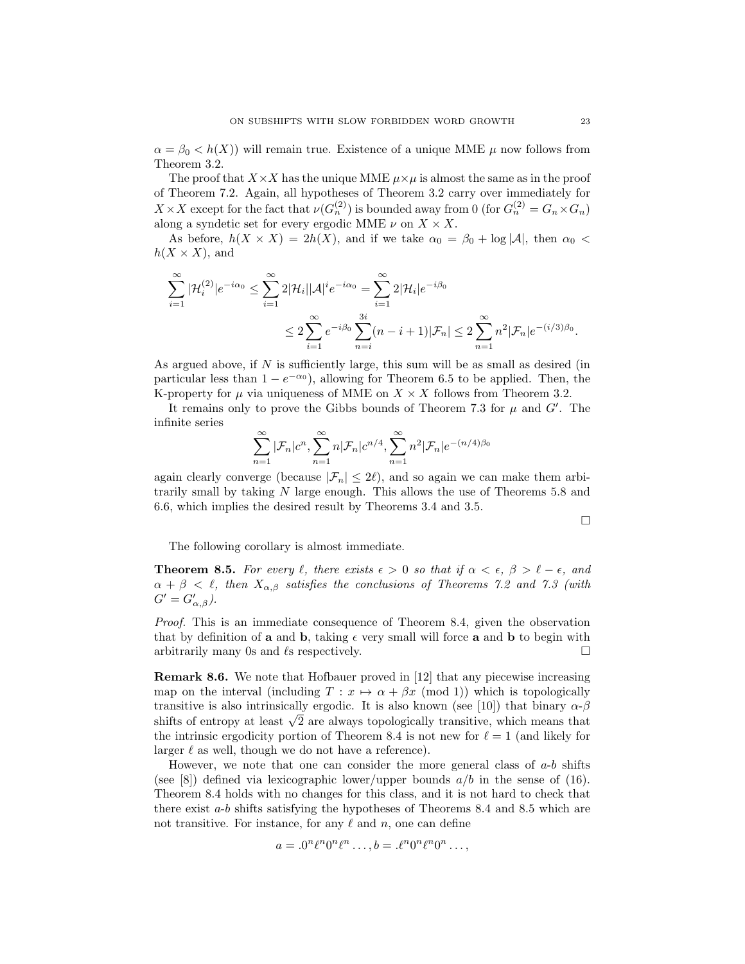$\alpha = \beta_0 < h(X)$  will remain true. Existence of a unique MME  $\mu$  now follows from Theorem 3.2.

The proof that  $X \times X$  has the unique MME  $\mu \times \mu$  is almost the same as in the proof of Theorem 7.2. Again, all hypotheses of Theorem 3.2 carry over immediately for  $X \times X$  except for the fact that  $\nu(G_n^{(2)})$  is bounded away from 0 (for  $G_n^{(2)} = G_n \times G_n$ ) along a syndetic set for every ergodic MME  $\nu$  on  $X \times X$ .

As before,  $h(X \times X) = 2h(X)$ , and if we take  $\alpha_0 = \beta_0 + \log |\mathcal{A}|$ , then  $\alpha_0 <$  $h(X \times X)$ , and

$$
\sum_{i=1}^{\infty} |\mathcal{H}_i^{(2)}| e^{-i\alpha_0} \le \sum_{i=1}^{\infty} 2|\mathcal{H}_i| |\mathcal{A}|^i e^{-i\alpha_0} = \sum_{i=1}^{\infty} 2|\mathcal{H}_i| e^{-i\beta_0}
$$
  

$$
\le 2\sum_{i=1}^{\infty} e^{-i\beta_0} \sum_{n=i}^{3i} (n-i+1)|\mathcal{F}_n| \le 2\sum_{n=1}^{\infty} n^2|\mathcal{F}_n| e^{-(i/3)\beta_0}.
$$

As argued above, if N is sufficiently large, this sum will be as small as desired (in particular less than  $1 - e^{-\alpha_0}$ , allowing for Theorem 6.5 to be applied. Then, the K-property for  $\mu$  via uniqueness of MME on  $X \times X$  follows from Theorem 3.2.

It remains only to prove the Gibbs bounds of Theorem 7.3 for  $\mu$  and  $G'$ . The infinite series

$$
\sum_{n=1}^{\infty} |\mathcal{F}_n| c^n, \sum_{n=1}^{\infty} n |\mathcal{F}_n| c^{n/4}, \sum_{n=1}^{\infty} n^2 |\mathcal{F}_n| e^{-(n/4)\beta_0}
$$

again clearly converge (because  $|\mathcal{F}_n| \leq 2\ell$ ), and so again we can make them arbitrarily small by taking N large enough. This allows the use of Theorems 5.8 and 6.6, which implies the desired result by Theorems 3.4 and 3.5.

 $\Box$ 

The following corollary is almost immediate.

**Theorem 8.5.** For every  $\ell$ , there exists  $\epsilon > 0$  so that if  $\alpha < \epsilon$ ,  $\beta > \ell - \epsilon$ , and  $\alpha + \beta < \ell$ , then  $X_{\alpha,\beta}$  satisfies the conclusions of Theorems 7.2 and 7.3 (with  $G' = G'_{\alpha,\beta}$ ).

Proof. This is an immediate consequence of Theorem 8.4, given the observation that by definition of **a** and **b**, taking  $\epsilon$  very small will force **a** and **b** to begin with arbitrarily many 0s and  $\ell$ s respectively.

Remark 8.6. We note that Hofbauer proved in [12] that any piecewise increasing map on the interval (including  $T : x \mapsto \alpha + \beta x \pmod{1}$ ) which is topologically transitive is also intrinsically ergodic. It is also known (see [10]) that binary  $\alpha$ - $\beta$ shifts of entropy at least  $\sqrt{2}$  are always topologically transitive, which means that the intrinsic ergodicity portion of Theorem 8.4 is not new for  $\ell = 1$  (and likely for larger  $\ell$  as well, though we do not have a reference).

However, we note that one can consider the more general class of  $a-b$  shifts (see [8]) defined via lexicographic lower/upper bounds  $a/b$  in the sense of (16). Theorem 8.4 holds with no changes for this class, and it is not hard to check that there exist a-b shifts satisfying the hypotheses of Theorems 8.4 and 8.5 which are not transitive. For instance, for any  $\ell$  and n, one can define

$$
a = .0^n \ell^n 0^n \ell^n \dots, b = .\ell^n 0^n \ell^n 0^n \dots,
$$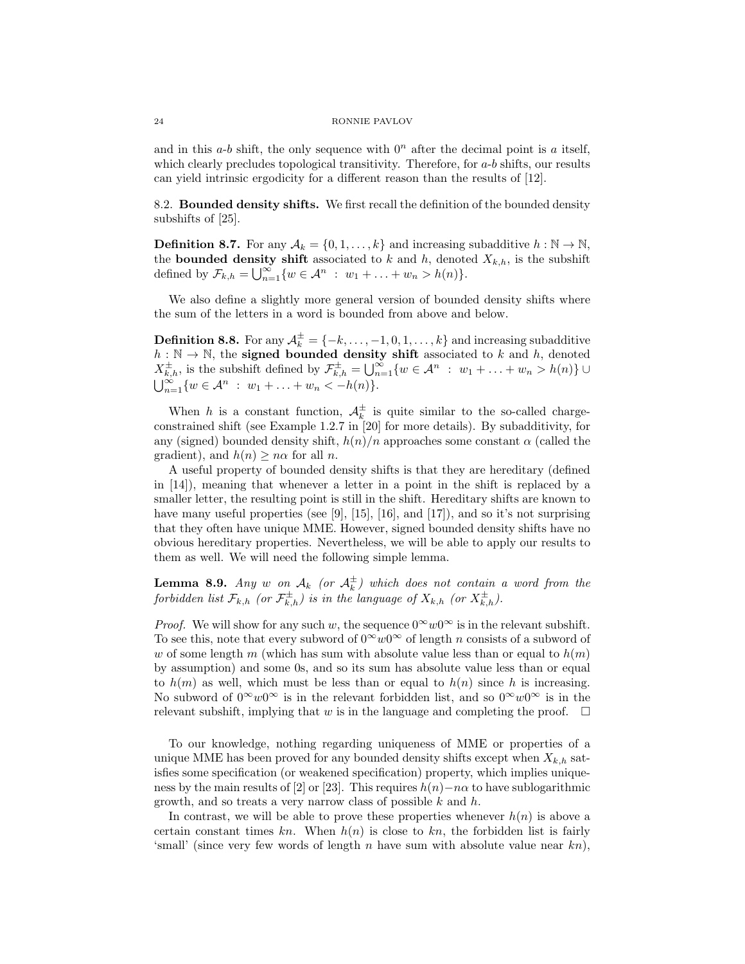and in this  $a-b$  shift, the only sequence with  $0<sup>n</sup>$  after the decimal point is a itself, which clearly precludes topological transitivity. Therefore, for  $a-b$  shifts, our results can yield intrinsic ergodicity for a different reason than the results of [12].

8.2. Bounded density shifts. We first recall the definition of the bounded density subshifts of [25].

**Definition 8.7.** For any  $A_k = \{0, 1, ..., k\}$  and increasing subadditive  $h : \mathbb{N} \to \mathbb{N}$ , the **bounded density shift** associated to k and h, denoted  $X_{k,h}$ , is the subshift defined by  $\mathcal{F}_{k,h} = \bigcup_{n=1}^{\infty} \{w \in \mathcal{A}^n : w_1 + \ldots + w_n > h(n)\}.$ 

We also define a slightly more general version of bounded density shifts where the sum of the letters in a word is bounded from above and below.

**Definition 8.8.** For any  $A_k^{\pm} = \{-k, \ldots, -1, 0, 1, \ldots, k\}$  and increasing subadditive  $h : \mathbb{N} \to \mathbb{N}$ , the **signed bounded density shift** associated to k and h, denoted  $X_{k,h}^{\pm}$ , is the subshift defined by  $\mathcal{F}_{k,h}^{\pm} = \bigcup_{n=1}^{\infty} \{w \in \mathcal{A}^n : w_1 + \ldots + w_n > h(n)\}$  $\bigcup_{n=1}^{\infty} \{w \in \mathcal{A}^n : w_1 + \ldots + w_n < -h(n)\}.$ 

When h is a constant function,  $A_k^{\pm}$  is quite similar to the so-called chargeconstrained shift (see Example 1.2.7 in [20] for more details). By subadditivity, for any (signed) bounded density shift,  $h(n)/n$  approaches some constant  $\alpha$  (called the gradient), and  $h(n) \geq n\alpha$  for all n.

A useful property of bounded density shifts is that they are hereditary (defined in [14]), meaning that whenever a letter in a point in the shift is replaced by a smaller letter, the resulting point is still in the shift. Hereditary shifts are known to have many useful properties (see [9], [15], [16], and [17]), and so it's not surprising that they often have unique MME. However, signed bounded density shifts have no obvious hereditary properties. Nevertheless, we will be able to apply our results to them as well. We will need the following simple lemma.

**Lemma 8.9.** Any w on  $A_k$  (or  $A_k^{\pm}$ ) which does not contain a word from the forbidden list  $\mathcal{F}_{k,h}$  (or  $\mathcal{F}_{k,h}^{\pm}$ ) is in the language of  $X_{k,h}$  (or  $X_{k,h}^{\pm}$ ).

*Proof.* We will show for any such w, the sequence  $0^{\infty}w0^{\infty}$  is in the relevant subshift. To see this, note that every subword of  $0^{\infty}w0^{\infty}$  of length n consists of a subword of w of some length m (which has sum with absolute value less than or equal to  $h(m)$ ) by assumption) and some 0s, and so its sum has absolute value less than or equal to  $h(m)$  as well, which must be less than or equal to  $h(n)$  since h is increasing. No subword of  $0^{\infty}w0^{\infty}$  is in the relevant forbidden list, and so  $0^{\infty}w0^{\infty}$  is in the relevant subshift, implying that w is in the language and completing the proof.  $\Box$ 

To our knowledge, nothing regarding uniqueness of MME or properties of a unique MME has been proved for any bounded density shifts except when  $X_{k,h}$  satisfies some specification (or weakened specification) property, which implies uniqueness by the main results of [2] or [23]. This requires  $h(n)-n\alpha$  to have sublogarithmic growth, and so treats a very narrow class of possible  $k$  and  $h$ .

In contrast, we will be able to prove these properties whenever  $h(n)$  is above a certain constant times kn. When  $h(n)$  is close to kn, the forbidden list is fairly 'small' (since very few words of length  $n$  have sum with absolute value near  $kn$ ),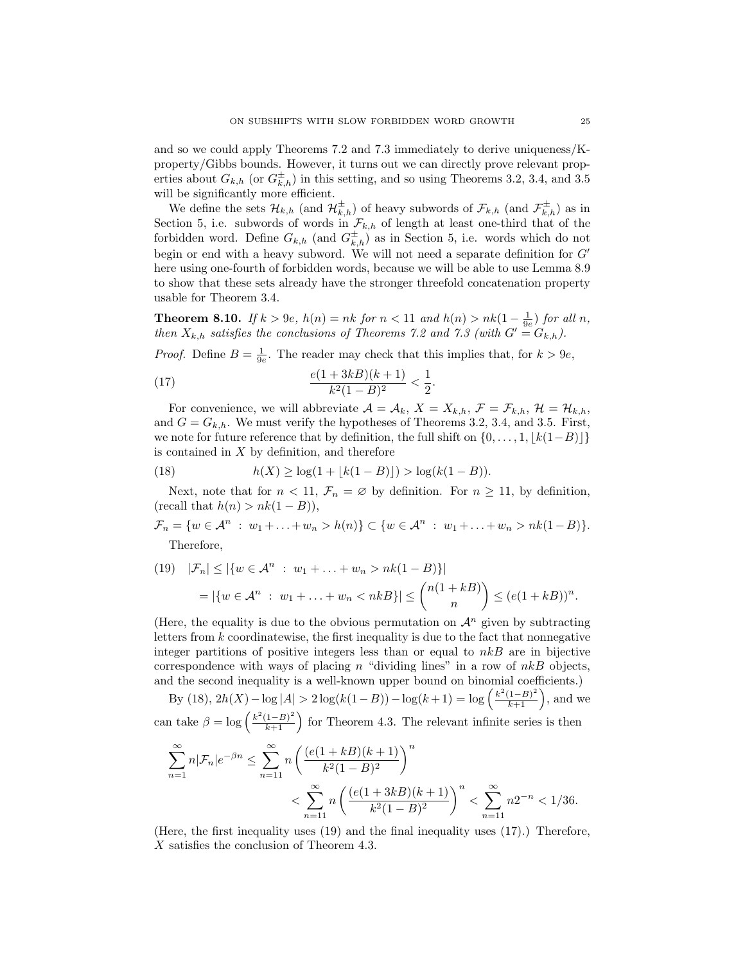and so we could apply Theorems 7.2 and 7.3 immediately to derive uniqueness/Kproperty/Gibbs bounds. However, it turns out we can directly prove relevant properties about  $G_{k,h}$  (or  $G_{k,h}^{\pm}$ ) in this setting, and so using Theorems 3.2, 3.4, and 3.5 will be significantly more efficient.

We define the sets  $\mathcal{H}_{k,h}$  (and  $\mathcal{H}_{k,h}^{\pm}$ ) of heavy subwords of  $\mathcal{F}_{k,h}$  (and  $\mathcal{F}_{k,h}^{\pm}$ ) as in Section 5, i.e. subwords of words in  $\mathcal{F}_{k,h}$  of length at least one-third that of the forbidden word. Define  $G_{k,h}$  (and  $G_{k,h}^{\pm}$ ) as in Section 5, i.e. words which do not begin or end with a heavy subword. We will not need a separate definition for  $G'$ here using one-fourth of forbidden words, because we will be able to use Lemma 8.9 to show that these sets already have the stronger threefold concatenation property usable for Theorem 3.4.

**Theorem 8.10.** If  $k > 9e$ ,  $h(n) = nk$  for  $n < 11$  and  $h(n) > nk(1 - \frac{1}{9e})$  for all n, then  $X_{k,h}$  satisfies the conclusions of Theorems 7.2 and 7.3 (with  $G' = G_{k,h}$ ).

*Proof.* Define  $B = \frac{1}{9e}$ . The reader may check that this implies that, for  $k > 9e$ ,

(17) 
$$
\frac{e(1+3kB)(k+1)}{k^2(1-B)^2} < \frac{1}{2}.
$$

For convenience, we will abbreviate  $\mathcal{A} = \mathcal{A}_k$ ,  $X = X_{k,h}$ ,  $\mathcal{F} = \mathcal{F}_{k,h}$ ,  $\mathcal{H} = \mathcal{H}_{k,h}$ , and  $G = G_{k,h}$ . We must verify the hypotheses of Theorems 3.2, 3.4, and 3.5. First, we note for future reference that by definition, the full shift on  $\{0, \ldots, 1, |k(1-B)|\}$ is contained in  $X$  by definition, and therefore

(18) 
$$
h(X) \ge \log(1 + \lfloor k(1-B) \rfloor) > \log(k(1-B)).
$$

Next, note that for  $n < 11$ ,  $\mathcal{F}_n = \emptyset$  by definition. For  $n \geq 11$ , by definition, (recall that  $h(n) > nk(1 - B)$ ),

$$
\mathcal{F}_n = \{ w \in \mathcal{A}^n : w_1 + \ldots + w_n > h(n) \} \subset \{ w \in \mathcal{A}^n : w_1 + \ldots + w_n > nk(1 - B) \}.
$$
  
Therefore,

(19) 
$$
|\mathcal{F}_n| \le |\{w \in \mathcal{A}^n : w_1 + \dots + w_n > nk(1 - B)\}|
$$
  
=  $|\{w \in \mathcal{A}^n : w_1 + \dots + w_n < nkB\}| \le {n(1 + kB) \choose n} \le (e(1 + kB))^n$ .

(Here, the equality is due to the obvious permutation on  $\mathcal{A}^n$  given by subtracting letters from  $k$  coordinatewise, the first inequality is due to the fact that nonnegative integer partitions of positive integers less than or equal to  $nkB$  are in bijective correspondence with ways of placing n "dividing lines" in a row of  $nkB$  objects, and the second inequality is a well-known upper bound on binomial coefficients.)

By (18),  $2h(X) - \log |A| > 2\log(k(1-B)) - \log(k+1) = \log\left(\frac{k^2(1-B)^2}{k+1}\right)$ , and we can take  $\beta = \log \left( \frac{k^2(1-B)^2}{k+1} \right)$  for Theorem 4.3. The relevant infinite series is then

$$
\begin{split} \sum_{n=1}^{\infty} n|\mathcal{F}_n|e^{-\beta n} &\leq \sum_{n=11}^{\infty} n\left(\frac{(e(1+kB)(k+1)}{k^2(1-B)^2}\right)^n\\&< \sum_{n=11}^{\infty} n\left(\frac{(e(1+3kB)(k+1)}{k^2(1-B)^2}\right)^n < \sum_{n=11}^{\infty} n2^{-n} < 1/36. \end{split}
$$

(Here, the first inequality uses (19) and the final inequality uses (17).) Therefore, X satisfies the conclusion of Theorem 4.3.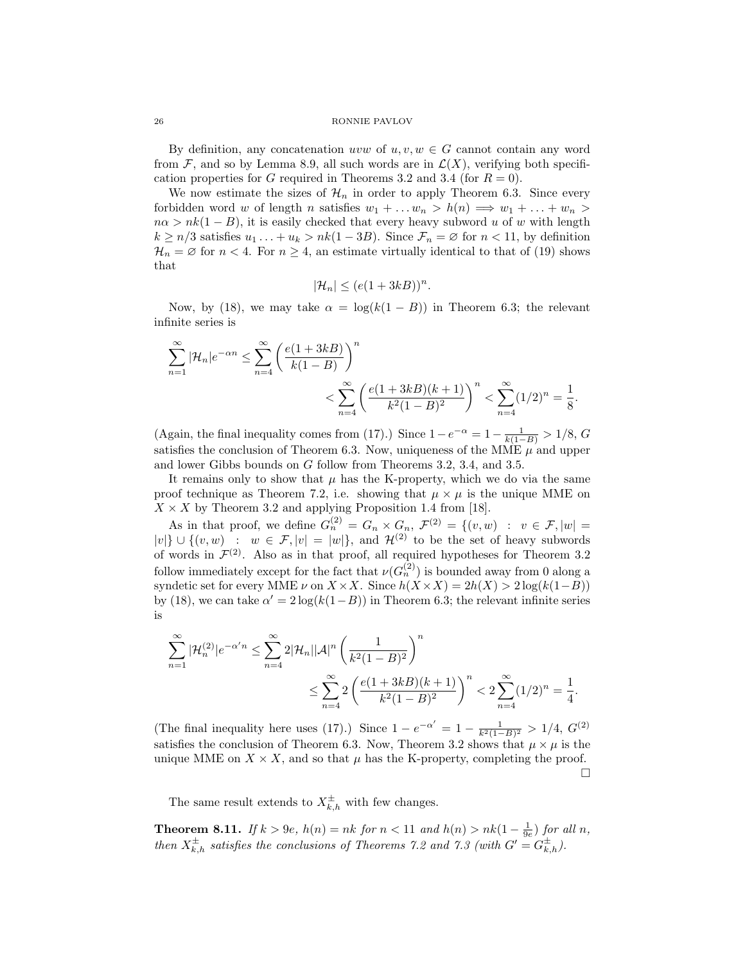By definition, any concatenation uvw of  $u, v, w \in G$  cannot contain any word from  $\mathcal{F}$ , and so by Lemma 8.9, all such words are in  $\mathcal{L}(X)$ , verifying both specification properties for G required in Theorems 3.2 and 3.4 (for  $R = 0$ ).

We now estimate the sizes of  $\mathcal{H}_n$  in order to apply Theorem 6.3. Since every forbidden word w of length n satisfies  $w_1 + \ldots w_n > h(n) \implies w_1 + \ldots + w_n >$  $n\alpha > nk(1 - B)$ , it is easily checked that every heavy subword u of w with length  $k \geq n/3$  satisfies  $u_1 \dots + u_k > nk(1 - 3B)$ . Since  $\mathcal{F}_n = \emptyset$  for  $n < 11$ , by definition  $\mathcal{H}_n = \emptyset$  for  $n < 4$ . For  $n \geq 4$ , an estimate virtually identical to that of (19) shows that

$$
|\mathcal{H}_n| \le (e(1+3kB))^n.
$$

Now, by (18), we may take  $\alpha = \log(k(1 - B))$  in Theorem 6.3; the relevant infinite series is

$$
\sum_{n=1}^{\infty} |\mathcal{H}_n| e^{-\alpha n} \le \sum_{n=4}^{\infty} \left( \frac{e(1+3kB)}{k(1-B)} \right)^n \n< \sum_{n=4}^{\infty} \left( \frac{e(1+3kB)(k+1)}{k^2(1-B)^2} \right)^n < \sum_{n=4}^{\infty} (1/2)^n = \frac{1}{8}.
$$

(Again, the final inequality comes from (17).) Since  $1 - e^{-\alpha} = 1 - \frac{1}{k(1-B)} > 1/8$ , G satisfies the conclusion of Theorem 6.3. Now, uniqueness of the MME  $\mu$  and upper and lower Gibbs bounds on G follow from Theorems 3.2, 3.4, and 3.5.

It remains only to show that  $\mu$  has the K-property, which we do via the same proof technique as Theorem 7.2, i.e. showing that  $\mu \times \mu$  is the unique MME on  $X \times X$  by Theorem 3.2 and applying Proposition 1.4 from [18].

As in that proof, we define  $G_n^{(2)} = G_n \times G_n$ ,  $\mathcal{F}^{(2)} = \{(v, w) : v \in \mathcal{F}, |w| =$  $|v|\}\cup\{(v,w) : w \in \mathcal{F}, |v| = |w|\}$ , and  $\mathcal{H}^{(2)}$  to be the set of heavy subwords of words in  $\mathcal{F}^{(2)}$ . Also as in that proof, all required hypotheses for Theorem 3.2 follow immediately except for the fact that  $\nu(G_n^{(2)})$  is bounded away from 0 along a syndetic set for every MME  $\nu$  on  $X \times X$ . Since  $h(X \times X) = 2h(X) > 2\log(k(1-B))$ by (18), we can take  $\alpha' = 2 \log(k(1-B))$  in Theorem 6.3; the relevant infinite series is

$$
\begin{split} \sum_{n=1}^{\infty}|\mathcal{H}^{(2)}_n|e^{-\alpha'n}&\leq \sum_{n=4}^{\infty}2|\mathcal{H}_n||\mathcal{A}|^n\left(\frac{1}{k^2(1-B)^2}\right)^n\\ &\leq \sum_{n=4}^{\infty}2\left(\frac{e(1+3kB)(k+1)}{k^2(1-B)^2}\right)^n<2\sum_{n=4}^{\infty}(1/2)^n=\frac{1}{4}. \end{split}
$$

(The final inequality here uses (17).) Since  $1 - e^{-\alpha'} = 1 - \frac{1}{k^2(1-B)^2} > 1/4$ ,  $G^{(2)}$ satisfies the conclusion of Theorem 6.3. Now, Theorem 3.2 shows that  $\mu \times \mu$  is the unique MME on  $X \times X$ , and so that  $\mu$  has the K-property, completing the proof. П

The same result extends to  $X_{k,h}^{\pm}$  with few changes.

**Theorem 8.11.** If  $k > 9e$ ,  $h(n) = nk$  for  $n < 11$  and  $h(n) > nk(1 - \frac{1}{9e})$  for all n, then  $X_{k,h}^{\pm}$  satisfies the conclusions of Theorems 7.2 and 7.3 (with  $G' = G_{k,h}^{\pm}$ ).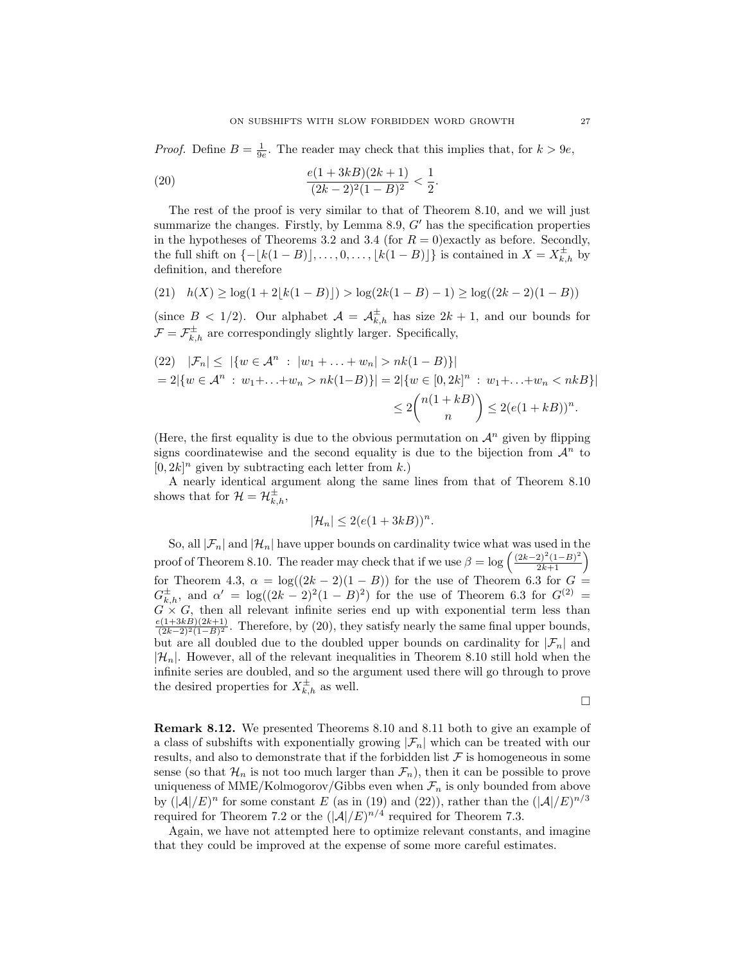*Proof.* Define  $B = \frac{1}{9e}$ . The reader may check that this implies that, for  $k > 9e$ ,

(20) 
$$
\frac{e(1+3kB)(2k+1)}{(2k-2)^2(1-B)^2} < \frac{1}{2}.
$$

The rest of the proof is very similar to that of Theorem 8.10, and we will just summarize the changes. Firstly, by Lemma 8.9,  $G'$  has the specification properties in the hypotheses of Theorems 3.2 and 3.4 (for  $R = 0$ ) exactly as before. Secondly, the full shift on  $\{-\lfloor k(1-B)\rfloor, \ldots, 0, \ldots, \lfloor k(1-B)\rfloor\}$  is contained in  $X = X_{k,h}^{\pm}$  by definition, and therefore

$$
(21) \quad h(X) \ge \log(1 + 2\lfloor k(1 - B) \rfloor) > \log(2k(1 - B) - 1) \ge \log((2k - 2)(1 - B))
$$

(since  $B < 1/2$ ). Our alphabet  $\mathcal{A} = \mathcal{A}_{k,h}^{\pm}$  has size  $2k + 1$ , and our bounds for  $\mathcal{F} = \mathcal{F}^{\pm}_{k,h}$  are correspondingly slightly larger. Specifically,

$$
(22) \quad |\mathcal{F}_n| \leq |\{w \in \mathcal{A}^n : |w_1 + \dots + w_n| > nk(1 - B)\}|
$$
\n
$$
= 2|\{w \in \mathcal{A}^n : w_1 + \dots + w_n > nk(1 - B)\}| = 2|\{w \in [0, 2k]^n : w_1 + \dots + w_n < nkB\}|
$$
\n
$$
\leq 2\binom{n(1 + kB)}{n} \leq 2(e(1 + kB))^n.
$$

(Here, the first equality is due to the obvious permutation on  $\mathcal{A}^n$  given by flipping signs coordinatewise and the second equality is due to the bijection from  $\mathcal{A}^n$  to  $[0, 2k]^n$  given by subtracting each letter from k.)

A nearly identical argument along the same lines from that of Theorem 8.10 shows that for  $\mathcal{H} = \mathcal{H}_{k,h}^{\pm}$ ,

$$
|\mathcal{H}_n| \le 2(e(1+3kB))^n.
$$

So, all  $|\mathcal{F}_n|$  and  $|\mathcal{H}_n|$  have upper bounds on cardinality twice what was used in the proof of Theorem 8.10. The reader may check that if we use  $\beta = \log \left( \frac{(2k-2)^2(1-B)^2}{2k+1} \right)$ for Theorem 4.3,  $\alpha = \log((2k-2)(1-B))$  for the use of Theorem 6.3 for  $G =$  $G_{k,h}^{\pm}$ , and  $\alpha' = \log((2k-2)^2(1-B)^2)$  for the use of Theorem 6.3 for  $G^{(2)} =$  $G \times G$ , then all relevant infinite series end up with exponential term less than  $\frac{e(1+3kB)(2k+1)}{(2k-2)^2(1-B)^2}$ . Therefore, by (20), they satisfy nearly the same final upper bounds, but are all doubled due to the doubled upper bounds on cardinality for  $|\mathcal{F}_n|$  and  $|\mathcal{H}_n|$ . However, all of the relevant inequalities in Theorem 8.10 still hold when the infinite series are doubled, and so the argument used there will go through to prove the desired properties for  $X_{k,h}^{\pm}$  as well.

$$
\Box
$$

Remark 8.12. We presented Theorems 8.10 and 8.11 both to give an example of a class of subshifts with exponentially growing  $|\mathcal{F}_n|$  which can be treated with our results, and also to demonstrate that if the forbidden list  $\mathcal F$  is homogeneous in some sense (so that  $\mathcal{H}_n$  is not too much larger than  $\mathcal{F}_n$ ), then it can be possible to prove uniqueness of MME/Kolmogorov/Gibbs even when  $\mathcal{F}_n$  is only bounded from above by  $(|A|/E)^n$  for some constant E (as in (19) and (22)), rather than the  $(|A|/E)^{n/3}$ required for Theorem 7.2 or the  $(|A|/E)^{n/4}$  required for Theorem 7.3.

Again, we have not attempted here to optimize relevant constants, and imagine that they could be improved at the expense of some more careful estimates.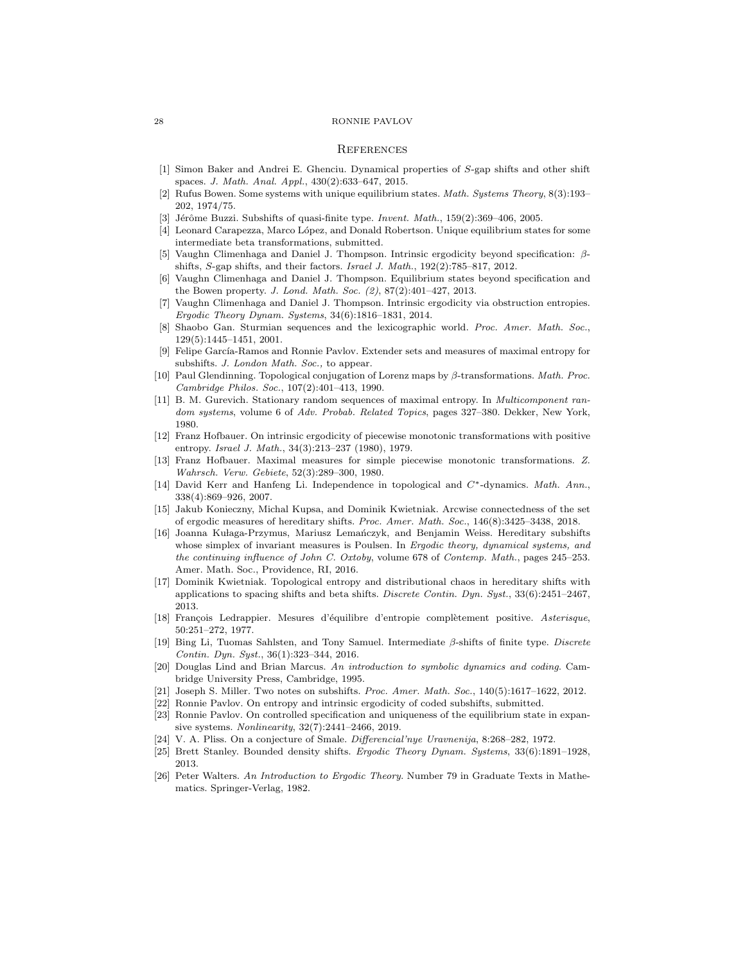## **REFERENCES**

- [1] Simon Baker and Andrei E. Ghenciu. Dynamical properties of S-gap shifts and other shift spaces. J. Math. Anal. Appl., 430(2):633–647, 2015.
- [2] Rufus Bowen. Some systems with unique equilibrium states. Math. Systems Theory, 8(3):193– 202, 1974/75.
- Jérôme Buzzi. Subshifts of quasi-finite type. Invent. Math., 159(2):369–406, 2005.
- [4] Leonard Carapezza, Marco López, and Donald Robertson. Unique equilibrium states for some intermediate beta transformations, submitted.
- [5] Vaughn Climenhaga and Daniel J. Thompson. Intrinsic ergodicity beyond specification: βshifts, S-gap shifts, and their factors. Israel J. Math., 192(2):785–817, 2012.
- [6] Vaughn Climenhaga and Daniel J. Thompson. Equilibrium states beyond specification and the Bowen property. J. Lond. Math. Soc. (2), 87(2):401–427, 2013.
- [7] Vaughn Climenhaga and Daniel J. Thompson. Intrinsic ergodicity via obstruction entropies. Ergodic Theory Dynam. Systems, 34(6):1816–1831, 2014.
- Shaobo Gan. Sturmian sequences and the lexicographic world. Proc. Amer. Math. Soc., 129(5):1445–1451, 2001.
- [9] Felipe García-Ramos and Ronnie Pavlov. Extender sets and measures of maximal entropy for subshifts. J. London Math. Soc., to appear.
- [10] Paul Glendinning. Topological conjugation of Lorenz maps by  $\beta$ -transformations. Math. Proc. Cambridge Philos. Soc., 107(2):401–413, 1990.
- [11] B. M. Gurevich. Stationary random sequences of maximal entropy. In Multicomponent random systems, volume 6 of Adv. Probab. Related Topics, pages 327-380. Dekker, New York, 1980.
- [12] Franz Hofbauer. On intrinsic ergodicity of piecewise monotonic transformations with positive entropy. Israel J. Math., 34(3):213–237 (1980), 1979.
- [13] Franz Hofbauer. Maximal measures for simple piecewise monotonic transformations. Z. Wahrsch. Verw. Gebiete, 52(3):289–300, 1980.
- [14] David Kerr and Hanfeng Li. Independence in topological and C∗-dynamics. Math. Ann., 338(4):869–926, 2007.
- [15] Jakub Konieczny, Michal Kupsa, and Dominik Kwietniak. Arcwise connectedness of the set of ergodic measures of hereditary shifts. Proc. Amer. Math. Soc., 146(8):3425–3438, 2018.
- [16] Joanna Kułaga-Przymus, Mariusz Lemańczyk, and Benjamin Weiss. Hereditary subshifts whose simplex of invariant measures is Poulsen. In Ergodic theory, dynamical systems, and the continuing influence of John C. Oxtoby, volume 678 of Contemp. Math., pages 245–253. Amer. Math. Soc., Providence, RI, 2016.
- [17] Dominik Kwietniak. Topological entropy and distributional chaos in hereditary shifts with applications to spacing shifts and beta shifts. Discrete Contin. Dyn. Syst., 33(6):2451–2467, 2013.
- [18] François Ledrappier. Mesures d'équilibre d'entropie complètement positive. Asterisque, 50:251–272, 1977.
- [19] Bing Li, Tuomas Sahlsten, and Tony Samuel. Intermediate β-shifts of finite type. Discrete Contin. Dyn. Syst., 36(1):323–344, 2016.
- [20] Douglas Lind and Brian Marcus. An introduction to symbolic dynamics and coding. Cambridge University Press, Cambridge, 1995.
- [21] Joseph S. Miller. Two notes on subshifts. Proc. Amer. Math. Soc., 140(5):1617–1622, 2012.
- [22] Ronnie Pavlov. On entropy and intrinsic ergodicity of coded subshifts, submitted.
- [23] Ronnie Pavlov. On controlled specification and uniqueness of the equilibrium state in expansive systems. Nonlinearity, 32(7):2441–2466, 2019.
- [24] V. A. Pliss. On a conjecture of Smale. Differencial'nye Uravnenija, 8:268–282, 1972.
- [25] Brett Stanley. Bounded density shifts. Ergodic Theory Dynam. Systems, 33(6):1891–1928, 2013.
- [26] Peter Walters. An Introduction to Ergodic Theory. Number 79 in Graduate Texts in Mathematics. Springer-Verlag, 1982.